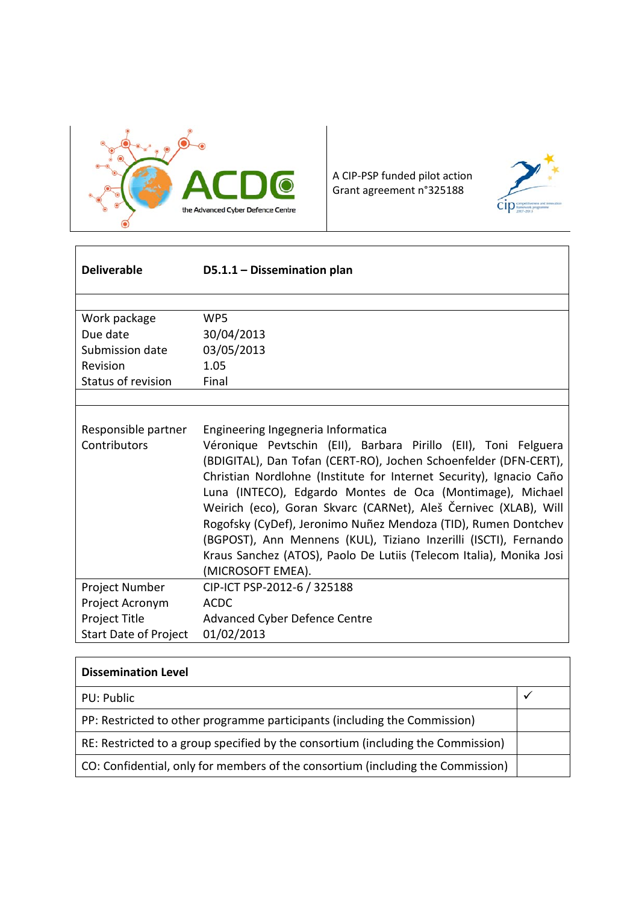

A CIP-PSP funded pilot action Grant agreement n°325188



| <b>Deliverable</b>                                                                 | D5.1.1 - Dissemination plan                                                                                                                                                                                                                                                                                                                                                                                                                                                                                                                                                                                         |
|------------------------------------------------------------------------------------|---------------------------------------------------------------------------------------------------------------------------------------------------------------------------------------------------------------------------------------------------------------------------------------------------------------------------------------------------------------------------------------------------------------------------------------------------------------------------------------------------------------------------------------------------------------------------------------------------------------------|
| Work package<br>Due date<br>Submission date<br>Revision<br>Status of revision      | WP5<br>30/04/2013<br>03/05/2013<br>1.05<br>Final                                                                                                                                                                                                                                                                                                                                                                                                                                                                                                                                                                    |
|                                                                                    |                                                                                                                                                                                                                                                                                                                                                                                                                                                                                                                                                                                                                     |
| Responsible partner<br>Contributors                                                | Engineering Ingegneria Informatica<br>Véronique Pevtschin (EII), Barbara Pirillo (EII), Toni Felguera<br>(BDIGITAL), Dan Tofan (CERT-RO), Jochen Schoenfelder (DFN-CERT),<br>Christian Nordlohne (Institute for Internet Security), Ignacio Caño<br>Luna (INTECO), Edgardo Montes de Oca (Montimage), Michael<br>Weirich (eco), Goran Skvarc (CARNet), Aleš Černivec (XLAB), Will<br>Rogofsky (CyDef), Jeronimo Nuñez Mendoza (TID), Rumen Dontchev<br>(BGPOST), Ann Mennens (KUL), Tiziano Inzerilli (ISCTI), Fernando<br>Kraus Sanchez (ATOS), Paolo De Lutiis (Telecom Italia), Monika Josi<br>(MICROSOFT EMEA). |
| Project Number<br>Project Acronym<br>Project Title<br><b>Start Date of Project</b> | CIP-ICT PSP-2012-6 / 325188<br><b>ACDC</b><br>Advanced Cyber Defence Centre<br>01/02/2013                                                                                                                                                                                                                                                                                                                                                                                                                                                                                                                           |

| <b>Dissemination Level</b>                                                       |  |
|----------------------------------------------------------------------------------|--|
| PU: Public                                                                       |  |
| PP: Restricted to other programme participants (including the Commission)        |  |
| RE: Restricted to a group specified by the consortium (including the Commission) |  |
| CO: Confidential, only for members of the consortium (including the Commission)  |  |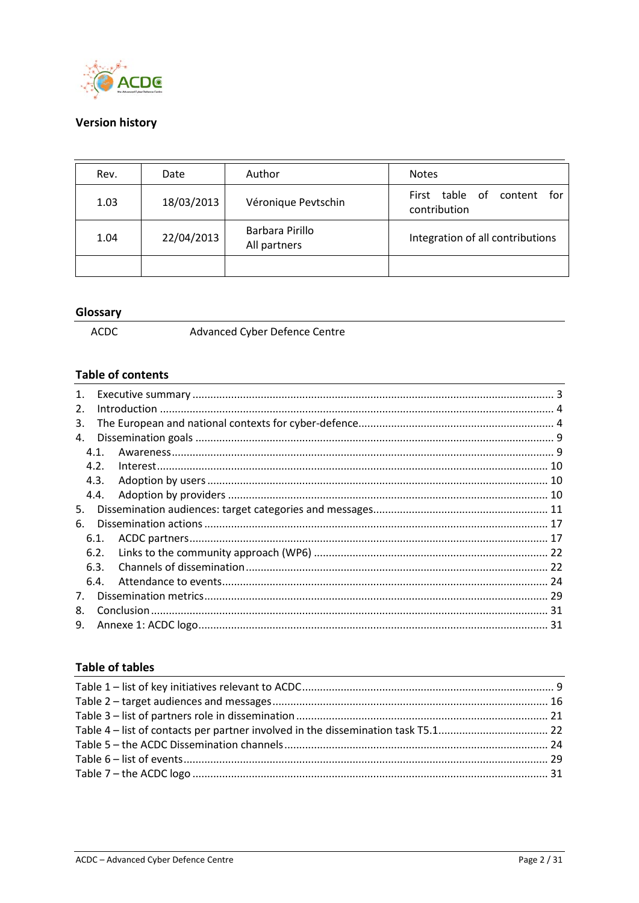

## **Version history**

| Rev. | Date       | Author                          | <b>Notes</b>                                     |  |
|------|------------|---------------------------------|--------------------------------------------------|--|
| 1.03 | 18/03/2013 | Véronique Pevtschin             | table of content<br>First<br>for<br>contribution |  |
| 1.04 | 22/04/2013 | Barbara Pirillo<br>All partners | Integration of all contributions                 |  |
|      |            |                                 |                                                  |  |

#### Glossary

 $\mathsf{ACDC}$ 

Advanced Cyber Defence Centre

## **Table of contents**

| 1.          |      |  |
|-------------|------|--|
| 2.          |      |  |
| 3.          |      |  |
| 4.          |      |  |
|             | 4.1. |  |
|             | 4.2. |  |
|             | 4.3. |  |
|             | 4.4. |  |
| 5.          |      |  |
| 6.          |      |  |
|             | 6.1. |  |
|             | 6.2. |  |
|             | 6.3. |  |
|             | 6.4. |  |
| $7_{\cdot}$ |      |  |
| 8.          |      |  |
| 9.          |      |  |
|             |      |  |

## **Table of tables**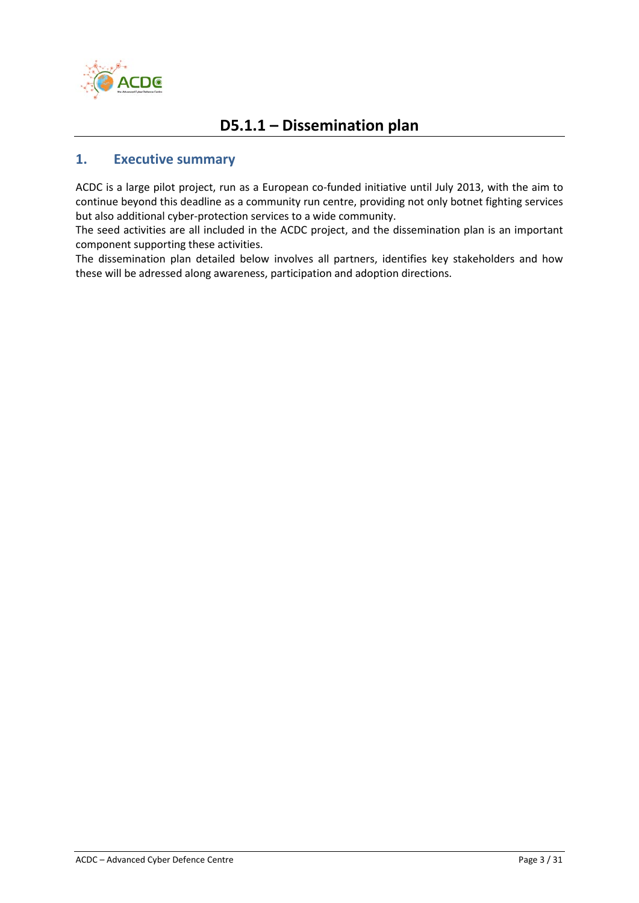

# **D5.1.1 – Dissemination plan**

## <span id="page-2-0"></span>**1. Executive summary**

ACDC is a large pilot project, run as a European co-funded initiative until July 2013, with the aim to continue beyond this deadline as a community run centre, providing not only botnet fighting services but also additional cyber-protection services to a wide community.

The seed activities are all included in the ACDC project, and the dissemination plan is an important component supporting these activities.

The dissemination plan detailed below involves all partners, identifies key stakeholders and how these will be adressed along awareness, participation and adoption directions.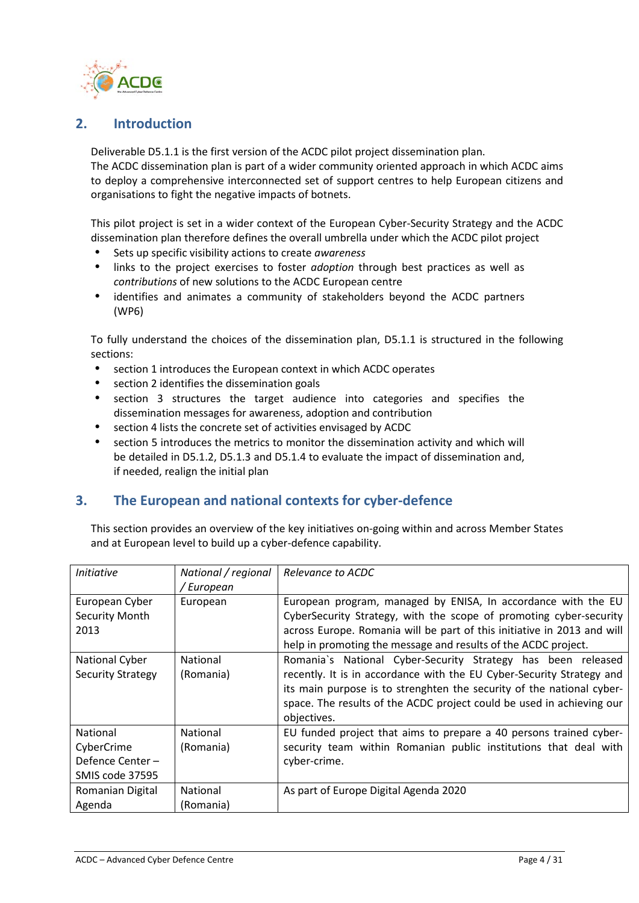

## <span id="page-3-0"></span>**2. Introduction**

Deliverable D5.1.1 is the first version of the ACDC pilot project dissemination plan. The ACDC dissemination plan is part of a wider community oriented approach in which ACDC aims to deploy a comprehensive interconnected set of support centres to help European citizens and organisations to fight the negative impacts of botnets.

This pilot project is set in a wider context of the European Cyber-Security Strategy and the ACDC dissemination plan therefore defines the overall umbrella under which the ACDC pilot project

- Sets up specific visibility actions to create *awareness*
- links to the project exercises to foster *adoption* through best practices as well as *contributions* of new solutions to the ACDC European centre
- identifies and animates a community of stakeholders beyond the ACDC partners (WP6)

To fully understand the choices of the dissemination plan, D5.1.1 is structured in the following sections:

- section 1 introduces the European context in which ACDC operates
- section 2 identifies the dissemination goals
- section 3 structures the target audience into categories and specifies the dissemination messages for awareness, adoption and contribution
- section 4 lists the concrete set of activities envisaged by ACDC
- section 5 introduces the metrics to monitor the dissemination activity and which will be detailed in D5.1.2, D5.1.3 and D5.1.4 to evaluate the impact of dissemination and, if needed, realign the initial plan

# <span id="page-3-1"></span>**3. The European and national contexts for cyber-defence**

This section provides an overview of the key initiatives on-going within and across Member States and at European level to build up a cyber-defence capability.

| <i>Initiative</i>        | National / regional | Relevance to ACDC                                                       |  |
|--------------------------|---------------------|-------------------------------------------------------------------------|--|
|                          | / European          |                                                                         |  |
| European Cyber           | European            | European program, managed by ENISA, In accordance with the EU           |  |
| Security Month           |                     | CyberSecurity Strategy, with the scope of promoting cyber-security      |  |
| 2013                     |                     | across Europe. Romania will be part of this initiative in 2013 and will |  |
|                          |                     | help in promoting the message and results of the ACDC project.          |  |
| National Cyber           | <b>National</b>     | Romania's National Cyber-Security Strategy has been released            |  |
| <b>Security Strategy</b> | (Romania)           | recently. It is in accordance with the EU Cyber-Security Strategy and   |  |
|                          |                     | its main purpose is to strenghten the security of the national cyber-   |  |
|                          |                     | space. The results of the ACDC project could be used in achieving our   |  |
|                          |                     | objectives.                                                             |  |
| <b>National</b>          | National            | EU funded project that aims to prepare a 40 persons trained cyber-      |  |
| CyberCrime               | (Romania)           | security team within Romanian public institutions that deal with        |  |
| Defence Center-          |                     | cyber-crime.                                                            |  |
| SMIS code 37595          |                     |                                                                         |  |
| Romanian Digital         | <b>National</b>     | As part of Europe Digital Agenda 2020                                   |  |
| Agenda                   | (Romania)           |                                                                         |  |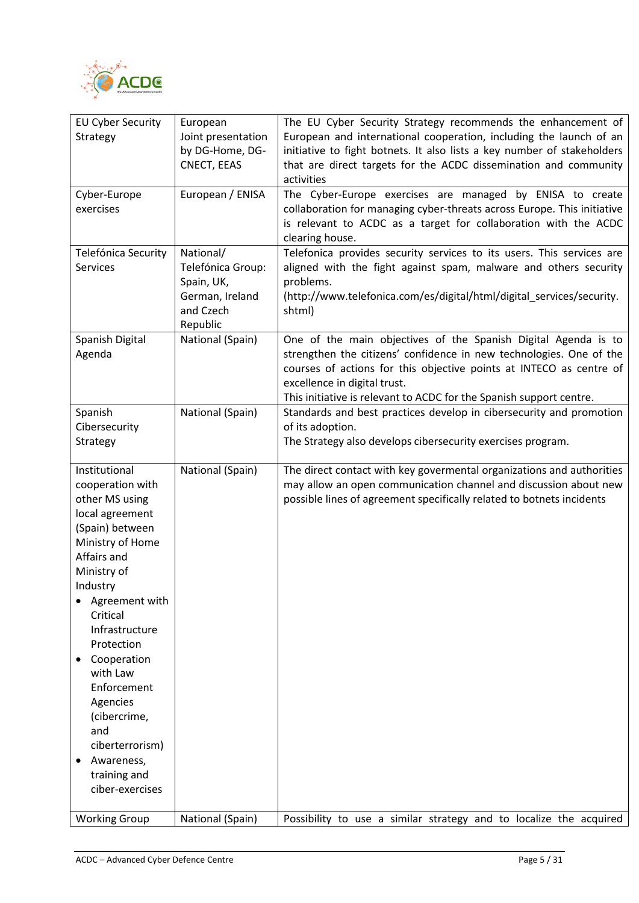

| <b>EU Cyber Security</b><br>Strategy                                                                                                                                                                                                                                                                                                                                   | European<br>Joint presentation<br>by DG-Home, DG-<br>CNECT, EEAS                         | The EU Cyber Security Strategy recommends the enhancement of<br>European and international cooperation, including the launch of an<br>initiative to fight botnets. It also lists a key number of stakeholders<br>that are direct targets for the ACDC dissemination and community<br>activities                     |  |  |
|------------------------------------------------------------------------------------------------------------------------------------------------------------------------------------------------------------------------------------------------------------------------------------------------------------------------------------------------------------------------|------------------------------------------------------------------------------------------|---------------------------------------------------------------------------------------------------------------------------------------------------------------------------------------------------------------------------------------------------------------------------------------------------------------------|--|--|
| Cyber-Europe<br>exercises                                                                                                                                                                                                                                                                                                                                              | European / ENISA                                                                         | The Cyber-Europe exercises are managed by ENISA to create<br>collaboration for managing cyber-threats across Europe. This initiative<br>is relevant to ACDC as a target for collaboration with the ACDC<br>clearing house.                                                                                          |  |  |
| Telefónica Security<br><b>Services</b>                                                                                                                                                                                                                                                                                                                                 | National/<br>Telefónica Group:<br>Spain, UK,<br>German, Ireland<br>and Czech<br>Republic | Telefonica provides security services to its users. This services are<br>aligned with the fight against spam, malware and others security<br>problems.<br>(http://www.telefonica.com/es/digital/html/digital_services/security.<br>shtml)                                                                           |  |  |
| Spanish Digital<br>Agenda                                                                                                                                                                                                                                                                                                                                              | National (Spain)                                                                         | One of the main objectives of the Spanish Digital Agenda is to<br>strengthen the citizens' confidence in new technologies. One of the<br>courses of actions for this objective points at INTECO as centre of<br>excellence in digital trust.<br>This initiative is relevant to ACDC for the Spanish support centre. |  |  |
| Spanish<br>Cibersecurity<br>Strategy                                                                                                                                                                                                                                                                                                                                   | National (Spain)                                                                         | Standards and best practices develop in cibersecurity and promotion<br>of its adoption.<br>The Strategy also develops cibersecurity exercises program.                                                                                                                                                              |  |  |
| Institutional<br>cooperation with<br>other MS using<br>local agreement<br>(Spain) between<br>Ministry of Home<br>Affairs and<br>Ministry of<br>Industry<br>Agreement with<br>Critical<br>Infrastructure<br>Protection<br>Cooperation<br>with Law<br>Enforcement<br>Agencies<br>(cibercrime,<br>and<br>ciberterrorism)<br>Awareness,<br>training and<br>ciber-exercises | National (Spain)                                                                         | The direct contact with key govermental organizations and authorities<br>may allow an open communication channel and discussion about new<br>possible lines of agreement specifically related to botnets incidents                                                                                                  |  |  |
| <b>Working Group</b>                                                                                                                                                                                                                                                                                                                                                   | National (Spain)                                                                         | Possibility to use a similar strategy and to localize the acquired                                                                                                                                                                                                                                                  |  |  |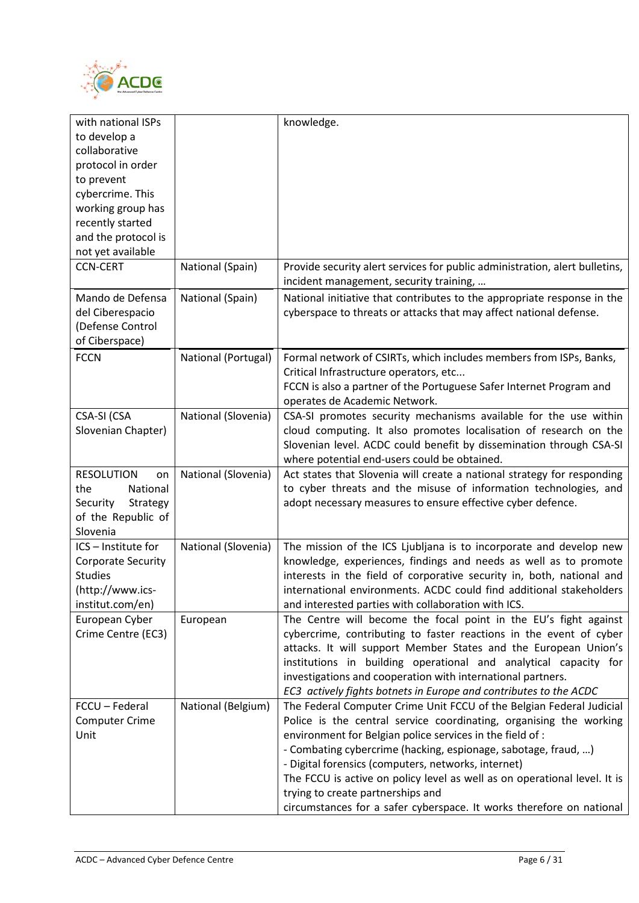

| with national ISPs        |                     | knowledge.                                                                  |
|---------------------------|---------------------|-----------------------------------------------------------------------------|
| to develop a              |                     |                                                                             |
| collaborative             |                     |                                                                             |
| protocol in order         |                     |                                                                             |
| to prevent                |                     |                                                                             |
| cybercrime. This          |                     |                                                                             |
| working group has         |                     |                                                                             |
| recently started          |                     |                                                                             |
| and the protocol is       |                     |                                                                             |
| not yet available         |                     |                                                                             |
| <b>CCN-CERT</b>           | National (Spain)    | Provide security alert services for public administration, alert bulletins, |
|                           |                     | incident management, security training,                                     |
| Mando de Defensa          | National (Spain)    | National initiative that contributes to the appropriate response in the     |
| del Ciberespacio          |                     | cyberspace to threats or attacks that may affect national defense.          |
| (Defense Control          |                     |                                                                             |
| of Ciberspace)            |                     |                                                                             |
|                           |                     |                                                                             |
| <b>FCCN</b>               | National (Portugal) | Formal network of CSIRTs, which includes members from ISPs, Banks,          |
|                           |                     | Critical Infrastructure operators, etc                                      |
|                           |                     | FCCN is also a partner of the Portuguese Safer Internet Program and         |
|                           |                     | operates de Academic Network.                                               |
| CSA-SI (CSA               | National (Slovenia) | CSA-SI promotes security mechanisms available for the use within            |
| Slovenian Chapter)        |                     | cloud computing. It also promotes localisation of research on the           |
|                           |                     | Slovenian level. ACDC could benefit by dissemination through CSA-SI         |
|                           |                     | where potential end-users could be obtained.                                |
| <b>RESOLUTION</b><br>on   | National (Slovenia) | Act states that Slovenia will create a national strategy for responding     |
| the<br>National           |                     | to cyber threats and the misuse of information technologies, and            |
| Security<br>Strategy      |                     | adopt necessary measures to ensure effective cyber defence.                 |
| of the Republic of        |                     |                                                                             |
| Slovenia                  |                     |                                                                             |
| ICS - Institute for       | National (Slovenia) | The mission of the ICS Ljubljana is to incorporate and develop new          |
| <b>Corporate Security</b> |                     | knowledge, experiences, findings and needs as well as to promote            |
| <b>Studies</b>            |                     | interests in the field of corporative security in, both, national and       |
| (http://www.ics-          |                     | international environments. ACDC could find additional stakeholders         |
| institut.com/en)          |                     | and interested parties with collaboration with ICS.                         |
| European Cyber            | European            | The Centre will become the focal point in the EU's fight against            |
| Crime Centre (EC3)        |                     | cybercrime, contributing to faster reactions in the event of cyber          |
|                           |                     | attacks. It will support Member States and the European Union's             |
|                           |                     | institutions in building operational and analytical capacity for            |
|                           |                     | investigations and cooperation with international partners.                 |
|                           |                     | EC3 actively fights botnets in Europe and contributes to the ACDC           |
| FCCU - Federal            | National (Belgium)  | The Federal Computer Crime Unit FCCU of the Belgian Federal Judicial        |
| <b>Computer Crime</b>     |                     | Police is the central service coordinating, organising the working          |
| Unit                      |                     | environment for Belgian police services in the field of :                   |
|                           |                     | - Combating cybercrime (hacking, espionage, sabotage, fraud, )              |
|                           |                     | - Digital forensics (computers, networks, internet)                         |
|                           |                     | The FCCU is active on policy level as well as on operational level. It is   |
|                           |                     | trying to create partnerships and                                           |
|                           |                     | circumstances for a safer cyberspace. It works therefore on national        |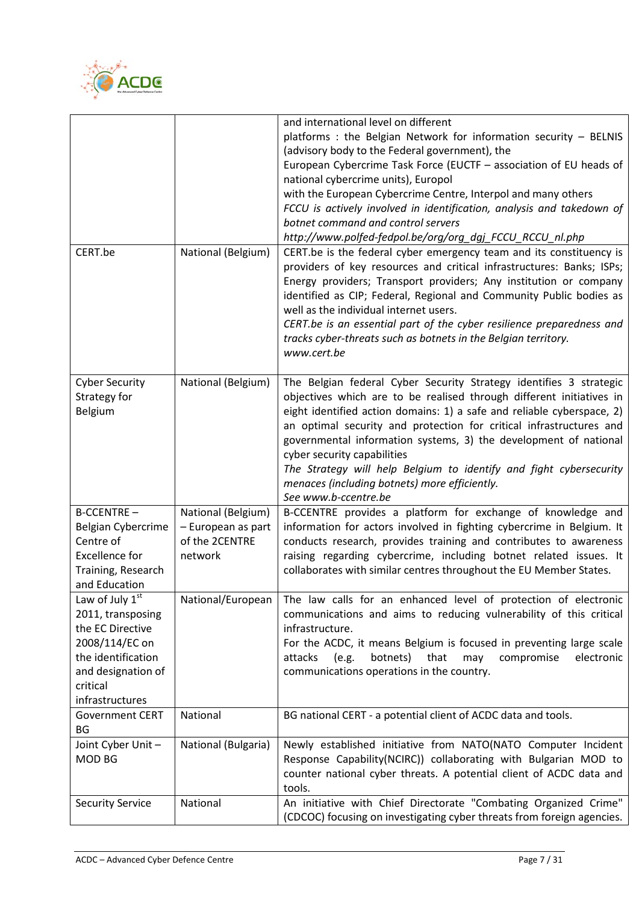

|                                    |                                                                 | and international level on different<br>platforms : the Belgian Network for information security - BELNIS                                                                                                                                                                                                                                                                                                                                                                                    |  |
|------------------------------------|-----------------------------------------------------------------|----------------------------------------------------------------------------------------------------------------------------------------------------------------------------------------------------------------------------------------------------------------------------------------------------------------------------------------------------------------------------------------------------------------------------------------------------------------------------------------------|--|
|                                    |                                                                 | (advisory body to the Federal government), the<br>European Cybercrime Task Force (EUCTF - association of EU heads of                                                                                                                                                                                                                                                                                                                                                                         |  |
|                                    |                                                                 | national cybercrime units), Europol                                                                                                                                                                                                                                                                                                                                                                                                                                                          |  |
|                                    |                                                                 | with the European Cybercrime Centre, Interpol and many others                                                                                                                                                                                                                                                                                                                                                                                                                                |  |
|                                    |                                                                 | FCCU is actively involved in identification, analysis and takedown of                                                                                                                                                                                                                                                                                                                                                                                                                        |  |
|                                    |                                                                 | botnet command and control servers                                                                                                                                                                                                                                                                                                                                                                                                                                                           |  |
|                                    |                                                                 | http://www.polfed-fedpol.be/org/org_dgj_FCCU_RCCU_nl.php                                                                                                                                                                                                                                                                                                                                                                                                                                     |  |
| CERT.be                            | National (Belgium)                                              | CERT.be is the federal cyber emergency team and its constituency is<br>providers of key resources and critical infrastructures: Banks; ISPs;<br>Energy providers; Transport providers; Any institution or company<br>identified as CIP; Federal, Regional and Community Public bodies as<br>well as the individual internet users.<br>CERT.be is an essential part of the cyber resilience preparedness and<br>tracks cyber-threats such as botnets in the Belgian territory.<br>www.cert.be |  |
| <b>Cyber Security</b>              | National (Belgium)                                              | The Belgian federal Cyber Security Strategy identifies 3 strategic                                                                                                                                                                                                                                                                                                                                                                                                                           |  |
| Strategy for                       |                                                                 | objectives which are to be realised through different initiatives in                                                                                                                                                                                                                                                                                                                                                                                                                         |  |
| Belgium                            |                                                                 | eight identified action domains: 1) a safe and reliable cyberspace, 2)                                                                                                                                                                                                                                                                                                                                                                                                                       |  |
|                                    |                                                                 | an optimal security and protection for critical infrastructures and                                                                                                                                                                                                                                                                                                                                                                                                                          |  |
|                                    |                                                                 | governmental information systems, 3) the development of national                                                                                                                                                                                                                                                                                                                                                                                                                             |  |
|                                    |                                                                 | cyber security capabilities<br>The Strategy will help Belgium to identify and fight cybersecurity                                                                                                                                                                                                                                                                                                                                                                                            |  |
|                                    |                                                                 | menaces (including botnets) more efficiently.                                                                                                                                                                                                                                                                                                                                                                                                                                                |  |
|                                    |                                                                 | See www.b-ccentre.be                                                                                                                                                                                                                                                                                                                                                                                                                                                                         |  |
| <b>B-CCENTRE-</b>                  | National (Belgium)                                              | B-CCENTRE provides a platform for exchange of knowledge and                                                                                                                                                                                                                                                                                                                                                                                                                                  |  |
| Belgian Cybercrime                 | - European as part                                              | information for actors involved in fighting cybercrime in Belgium. It                                                                                                                                                                                                                                                                                                                                                                                                                        |  |
| Centre of                          | of the 2CENTRE                                                  | conducts research, provides training and contributes to awareness                                                                                                                                                                                                                                                                                                                                                                                                                            |  |
| <b>Excellence for</b>              | network                                                         | raising regarding cybercrime, including botnet related issues. It                                                                                                                                                                                                                                                                                                                                                                                                                            |  |
| Training, Research                 |                                                                 | collaborates with similar centres throughout the EU Member States.                                                                                                                                                                                                                                                                                                                                                                                                                           |  |
| and Education                      |                                                                 |                                                                                                                                                                                                                                                                                                                                                                                                                                                                                              |  |
| Law of July $1st$                  | National/European                                               | The law calls for an enhanced level of protection of electronic                                                                                                                                                                                                                                                                                                                                                                                                                              |  |
| 2011, transposing                  |                                                                 | communications and aims to reducing vulnerability of this critical                                                                                                                                                                                                                                                                                                                                                                                                                           |  |
| the EC Directive<br>2008/114/EC on |                                                                 | infrastructure.                                                                                                                                                                                                                                                                                                                                                                                                                                                                              |  |
| the identification                 |                                                                 | For the ACDC, it means Belgium is focused in preventing large scale<br>botnets) that<br>attacks<br>(e.g.<br>may<br>compromise<br>electronic                                                                                                                                                                                                                                                                                                                                                  |  |
| and designation of                 |                                                                 | communications operations in the country.                                                                                                                                                                                                                                                                                                                                                                                                                                                    |  |
| critical                           |                                                                 |                                                                                                                                                                                                                                                                                                                                                                                                                                                                                              |  |
| infrastructures                    |                                                                 |                                                                                                                                                                                                                                                                                                                                                                                                                                                                                              |  |
| <b>Government CERT</b>             | National                                                        | BG national CERT - a potential client of ACDC data and tools.                                                                                                                                                                                                                                                                                                                                                                                                                                |  |
| BG                                 |                                                                 |                                                                                                                                                                                                                                                                                                                                                                                                                                                                                              |  |
| Joint Cyber Unit -                 | National (Bulgaria)                                             | Newly established initiative from NATO(NATO Computer Incident                                                                                                                                                                                                                                                                                                                                                                                                                                |  |
| MOD BG                             | Response Capability(NCIRC)) collaborating with Bulgarian MOD to |                                                                                                                                                                                                                                                                                                                                                                                                                                                                                              |  |
|                                    |                                                                 | counter national cyber threats. A potential client of ACDC data and<br>tools.                                                                                                                                                                                                                                                                                                                                                                                                                |  |
| <b>Security Service</b>            | National                                                        | An initiative with Chief Directorate "Combating Organized Crime"                                                                                                                                                                                                                                                                                                                                                                                                                             |  |
|                                    |                                                                 | (CDCOC) focusing on investigating cyber threats from foreign agencies.                                                                                                                                                                                                                                                                                                                                                                                                                       |  |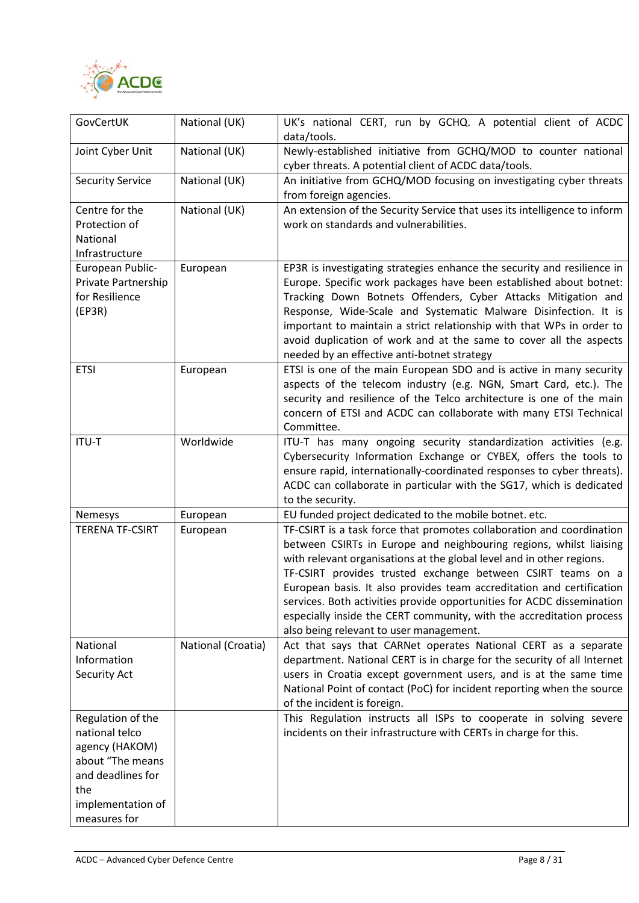

| GovCertUK                                                                                                                                  | National (UK)      | UK's national CERT, run by GCHQ. A potential client of ACDC<br>data/tools.                                                                                                                                                                                                                                                                                                                                                                                                                                                                                |  |  |
|--------------------------------------------------------------------------------------------------------------------------------------------|--------------------|-----------------------------------------------------------------------------------------------------------------------------------------------------------------------------------------------------------------------------------------------------------------------------------------------------------------------------------------------------------------------------------------------------------------------------------------------------------------------------------------------------------------------------------------------------------|--|--|
| Joint Cyber Unit                                                                                                                           | National (UK)      | Newly-established initiative from GCHQ/MOD to counter national<br>cyber threats. A potential client of ACDC data/tools.                                                                                                                                                                                                                                                                                                                                                                                                                                   |  |  |
| <b>Security Service</b>                                                                                                                    | National (UK)      | An initiative from GCHQ/MOD focusing on investigating cyber threats<br>from foreign agencies.                                                                                                                                                                                                                                                                                                                                                                                                                                                             |  |  |
| Centre for the<br>Protection of<br>National<br>Infrastructure                                                                              | National (UK)      | An extension of the Security Service that uses its intelligence to inform<br>work on standards and vulnerabilities.                                                                                                                                                                                                                                                                                                                                                                                                                                       |  |  |
| European Public-<br>Private Partnership<br>for Resilience<br>(EP3R)                                                                        | European           | EP3R is investigating strategies enhance the security and resilience in<br>Europe. Specific work packages have been established about botnet:<br>Tracking Down Botnets Offenders, Cyber Attacks Mitigation and<br>Response, Wide-Scale and Systematic Malware Disinfection. It is<br>important to maintain a strict relationship with that WPs in order to<br>avoid duplication of work and at the same to cover all the aspects<br>needed by an effective anti-botnet strategy                                                                           |  |  |
| <b>ETSI</b>                                                                                                                                | European           | ETSI is one of the main European SDO and is active in many security<br>aspects of the telecom industry (e.g. NGN, Smart Card, etc.). The<br>security and resilience of the Telco architecture is one of the main<br>concern of ETSI and ACDC can collaborate with many ETSI Technical<br>Committee.                                                                                                                                                                                                                                                       |  |  |
| <b>ITU-T</b>                                                                                                                               | Worldwide          | ITU-T has many ongoing security standardization activities (e.g.<br>Cybersecurity Information Exchange or CYBEX, offers the tools to<br>ensure rapid, internationally-coordinated responses to cyber threats).<br>ACDC can collaborate in particular with the SG17, which is dedicated<br>to the security.                                                                                                                                                                                                                                                |  |  |
| Nemesys                                                                                                                                    | European           | EU funded project dedicated to the mobile botnet. etc.                                                                                                                                                                                                                                                                                                                                                                                                                                                                                                    |  |  |
| <b>TERENA TF-CSIRT</b>                                                                                                                     | European           | TF-CSIRT is a task force that promotes collaboration and coordination<br>between CSIRTs in Europe and neighbouring regions, whilst liaising<br>with relevant organisations at the global level and in other regions.<br>TF-CSIRT provides trusted exchange between CSIRT teams on a<br>European basis. It also provides team accreditation and certification<br>services. Both activities provide opportunities for ACDC dissemination<br>especially inside the CERT community, with the accreditation process<br>also being relevant to user management. |  |  |
| National<br>Information<br><b>Security Act</b>                                                                                             | National (Croatia) | Act that says that CARNet operates National CERT as a separate<br>department. National CERT is in charge for the security of all Internet<br>users in Croatia except government users, and is at the same time<br>National Point of contact (PoC) for incident reporting when the source<br>of the incident is foreign.                                                                                                                                                                                                                                   |  |  |
| Regulation of the<br>national telco<br>agency (HAKOM)<br>about "The means<br>and deadlines for<br>the<br>implementation of<br>measures for |                    | This Regulation instructs all ISPs to cooperate in solving severe<br>incidents on their infrastructure with CERTs in charge for this.                                                                                                                                                                                                                                                                                                                                                                                                                     |  |  |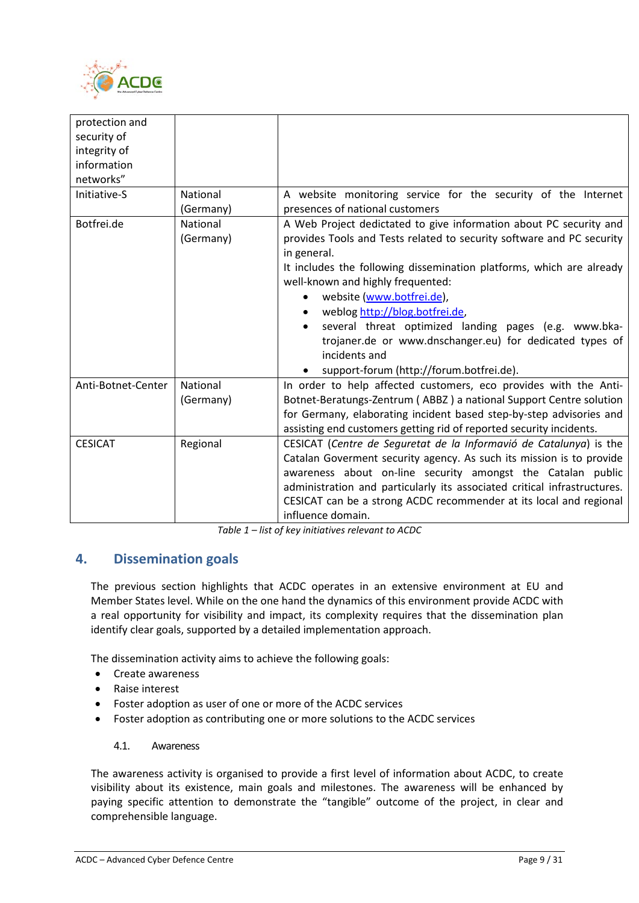

| protection and     |           |                                                                          |
|--------------------|-----------|--------------------------------------------------------------------------|
| security of        |           |                                                                          |
| integrity of       |           |                                                                          |
| information        |           |                                                                          |
|                    |           |                                                                          |
| networks"          |           |                                                                          |
| Initiative-S       | National  | A website monitoring service for the security of the Internet            |
|                    | (Germany) | presences of national customers                                          |
| Botfrei.de         | National  | A Web Project dedictated to give information about PC security and       |
|                    | (Germany) | provides Tools and Tests related to security software and PC security    |
|                    |           | in general.                                                              |
|                    |           | It includes the following dissemination platforms, which are already     |
|                    |           | well-known and highly frequented:                                        |
|                    |           | website (www.botfrei.de),<br>$\bullet$                                   |
|                    |           | weblog http://blog.botfrei.de,<br>$\bullet$                              |
|                    |           | several threat optimized landing pages (e.g. www.bka-                    |
|                    |           | trojaner.de or www.dnschanger.eu) for dedicated types of                 |
|                    |           | incidents and                                                            |
|                    |           | support-forum (http://forum.botfrei.de).                                 |
| Anti-Botnet-Center | National  | In order to help affected customers, eco provides with the Anti-         |
|                    | (Germany) | Botnet-Beratungs-Zentrum (ABBZ) a national Support Centre solution       |
|                    |           | for Germany, elaborating incident based step-by-step advisories and      |
|                    |           | assisting end customers getting rid of reported security incidents.      |
| <b>CESICAT</b>     | Regional  | CESICAT (Centre de Seguretat de la Informavió de Catalunya) is the       |
|                    |           | Catalan Goverment security agency. As such its mission is to provide     |
|                    |           | awareness about on-line security amongst the Catalan public              |
|                    |           | administration and particularly its associated critical infrastructures. |
|                    |           |                                                                          |
|                    |           | CESICAT can be a strong ACDC recommender at its local and regional       |
|                    |           | influence domain.                                                        |

*Table 1 – list of key initiatives relevant to ACDC*

## <span id="page-8-0"></span>**4. Dissemination goals**

The previous section highlights that ACDC operates in an extensive environment at EU and Member States level. While on the one hand the dynamics of this environment provide ACDC with a real opportunity for visibility and impact, its complexity requires that the dissemination plan identify clear goals, supported by a detailed implementation approach.

The dissemination activity aims to achieve the following goals:

- Create awareness
- Raise interest
- Foster adoption as user of one or more of the ACDC services
- <span id="page-8-1"></span>• Foster adoption as contributing one or more solutions to the ACDC services

#### 4.1. Awareness

The awareness activity is organised to provide a first level of information about ACDC, to create visibility about its existence, main goals and milestones. The awareness will be enhanced by paying specific attention to demonstrate the "tangible" outcome of the project, in clear and comprehensible language.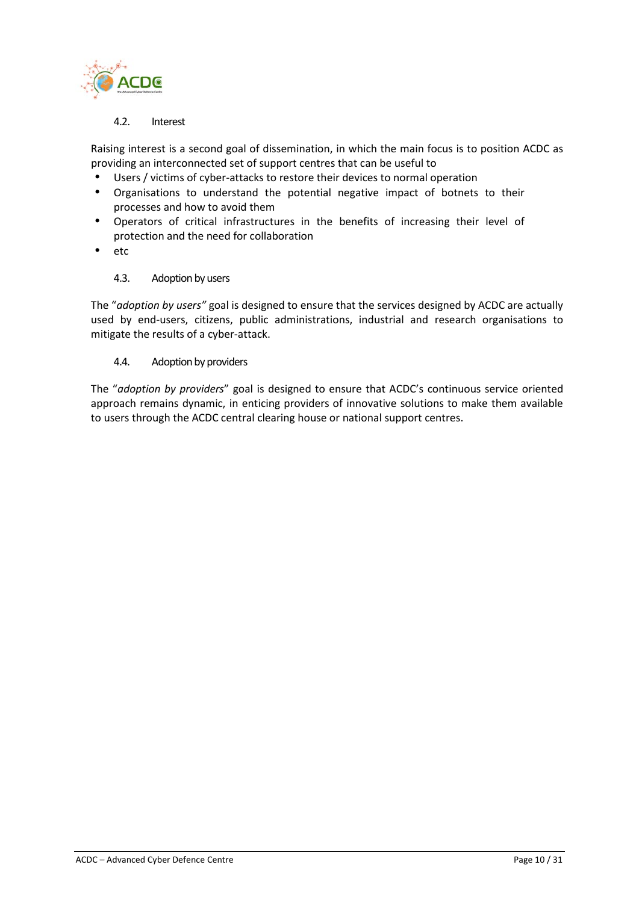

#### 4.2. Interest

<span id="page-9-0"></span>Raising interest is a second goal of dissemination, in which the main focus is to position ACDC as providing an interconnected set of support centres that can be useful to

- Users / victims of cyber-attacks to restore their devices to normal operation
- Organisations to understand the potential negative impact of botnets to their processes and how to avoid them
- Operators of critical infrastructures in the benefits of increasing their level of protection and the need for collaboration
- <span id="page-9-1"></span>etc

#### 4.3. Adoption by users

The "*adoption by users"* goal is designed to ensure that the services designed by ACDC are actually used by end-users, citizens, public administrations, industrial and research organisations to mitigate the results of a cyber-attack.

#### <span id="page-9-2"></span>4.4. Adoption by providers

The "*adoption by providers*" goal is designed to ensure that ACDC's continuous service oriented approach remains dynamic, in enticing providers of innovative solutions to make them available to users through the ACDC central clearing house or national support centres.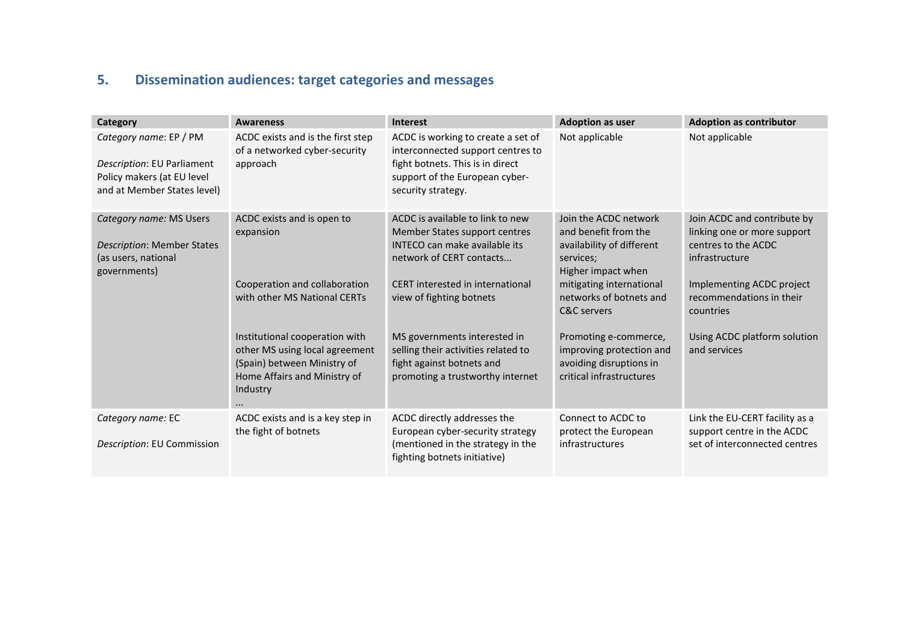# **5. Dissemination audiences: target categories and messages**

<span id="page-10-0"></span>

| Category                                                                                                          | <b>Awareness</b>                                                                                                                                                                                                                                                    | <b>Interest</b>                                                                                                                                                                                                                                                                                                                               | <b>Adoption as user</b>                                                                                                                                                                                                                                                                                    | <b>Adoption as contributor</b>                                                                                                                                                                                            |
|-------------------------------------------------------------------------------------------------------------------|---------------------------------------------------------------------------------------------------------------------------------------------------------------------------------------------------------------------------------------------------------------------|-----------------------------------------------------------------------------------------------------------------------------------------------------------------------------------------------------------------------------------------------------------------------------------------------------------------------------------------------|------------------------------------------------------------------------------------------------------------------------------------------------------------------------------------------------------------------------------------------------------------------------------------------------------------|---------------------------------------------------------------------------------------------------------------------------------------------------------------------------------------------------------------------------|
| Category name: EP / PM<br>Description: EU Parliament<br>Policy makers (at EU level<br>and at Member States level) | ACDC exists and is the first step<br>of a networked cyber-security<br>approach                                                                                                                                                                                      | ACDC is working to create a set of<br>interconnected support centres to<br>fight botnets. This is in direct<br>support of the European cyber-<br>security strategy.                                                                                                                                                                           | Not applicable                                                                                                                                                                                                                                                                                             | Not applicable                                                                                                                                                                                                            |
| Category name: MS Users<br><b>Description: Member States</b><br>(as users, national<br>governments)               | ACDC exists and is open to<br>expansion<br>Cooperation and collaboration<br>with other MS National CERTs<br>Institutional cooperation with<br>other MS using local agreement<br>(Spain) between Ministry of<br>Home Affairs and Ministry of<br>Industry<br>$\cdots$ | ACDC is available to link to new<br>Member States support centres<br><b>INTECO</b> can make available its<br>network of CERT contacts<br>CERT interested in international<br>view of fighting botnets<br>MS governments interested in<br>selling their activities related to<br>fight against botnets and<br>promoting a trustworthy internet | Join the ACDC network<br>and benefit from the<br>availability of different<br>services;<br>Higher impact when<br>mitigating international<br>networks of botnets and<br><b>C&amp;C</b> servers<br>Promoting e-commerce,<br>improving protection and<br>avoiding disruptions in<br>critical infrastructures | Join ACDC and contribute by<br>linking one or more support<br>centres to the ACDC<br>infrastructure<br>Implementing ACDC project<br>recommendations in their<br>countries<br>Using ACDC platform solution<br>and services |
| Category name: EC<br>Description: EU Commission                                                                   | ACDC exists and is a key step in<br>the fight of botnets                                                                                                                                                                                                            | ACDC directly addresses the<br>European cyber-security strategy<br>(mentioned in the strategy in the<br>fighting botnets initiative)                                                                                                                                                                                                          | Connect to ACDC to<br>protect the European<br>infrastructures                                                                                                                                                                                                                                              | Link the EU-CERT facility as a<br>support centre in the ACDC<br>set of interconnected centres                                                                                                                             |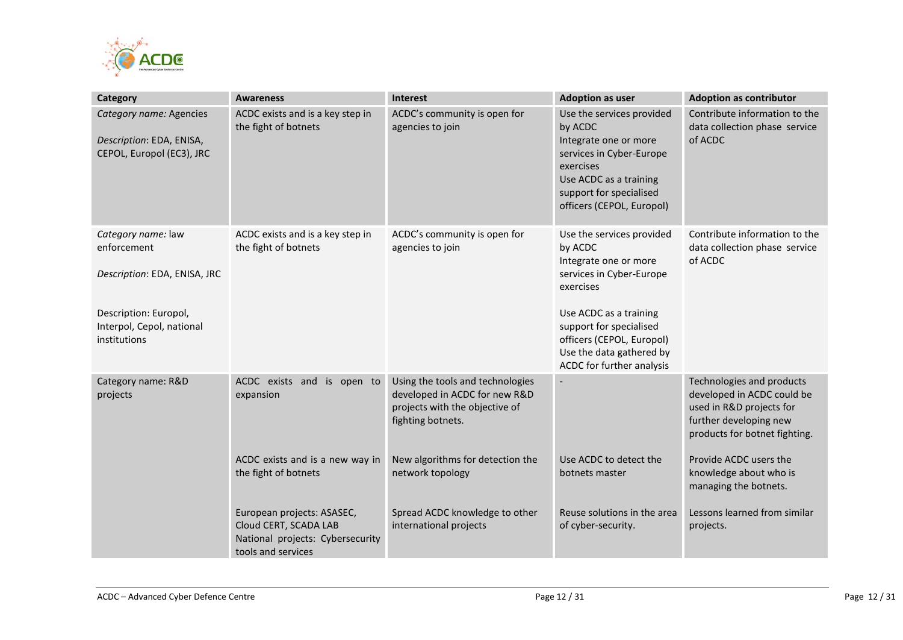

| Category                                                                         | <b>Awareness</b>                                                                                              | Interest                                                                                                                 | <b>Adoption as user</b>                                                                                                                                                                  | <b>Adoption as contributor</b>                                                                                                                 |
|----------------------------------------------------------------------------------|---------------------------------------------------------------------------------------------------------------|--------------------------------------------------------------------------------------------------------------------------|------------------------------------------------------------------------------------------------------------------------------------------------------------------------------------------|------------------------------------------------------------------------------------------------------------------------------------------------|
| Category name: Agencies<br>Description: EDA, ENISA,<br>CEPOL, Europol (EC3), JRC | ACDC exists and is a key step in<br>the fight of botnets                                                      | ACDC's community is open for<br>agencies to join                                                                         | Use the services provided<br>by ACDC<br>Integrate one or more<br>services in Cyber-Europe<br>exercises<br>Use ACDC as a training<br>support for specialised<br>officers (CEPOL, Europol) | Contribute information to the<br>data collection phase service<br>of ACDC                                                                      |
| Category name: law<br>enforcement<br>Description: EDA, ENISA, JRC                | ACDC exists and is a key step in<br>the fight of botnets                                                      | ACDC's community is open for<br>agencies to join                                                                         | Use the services provided<br>by ACDC<br>Integrate one or more<br>services in Cyber-Europe<br>exercises                                                                                   | Contribute information to the<br>data collection phase service<br>of ACDC                                                                      |
| Description: Europol,<br>Interpol, Cepol, national<br>institutions               |                                                                                                               |                                                                                                                          | Use ACDC as a training<br>support for specialised<br>officers (CEPOL, Europol)<br>Use the data gathered by<br>ACDC for further analysis                                                  |                                                                                                                                                |
| Category name: R&D<br>projects                                                   | ACDC exists and is open to<br>expansion                                                                       | Using the tools and technologies<br>developed in ACDC for new R&D<br>projects with the objective of<br>fighting botnets. | $\overline{\phantom{a}}$                                                                                                                                                                 | Technologies and products<br>developed in ACDC could be<br>used in R&D projects for<br>further developing new<br>products for botnet fighting. |
|                                                                                  | ACDC exists and is a new way in<br>the fight of botnets                                                       | New algorithms for detection the<br>network topology                                                                     | Use ACDC to detect the<br>botnets master                                                                                                                                                 | Provide ACDC users the<br>knowledge about who is<br>managing the botnets.                                                                      |
|                                                                                  | European projects: ASASEC,<br>Cloud CERT, SCADA LAB<br>National projects: Cybersecurity<br>tools and services | Spread ACDC knowledge to other<br>international projects                                                                 | Reuse solutions in the area<br>of cyber-security.                                                                                                                                        | Lessons learned from similar<br>projects.                                                                                                      |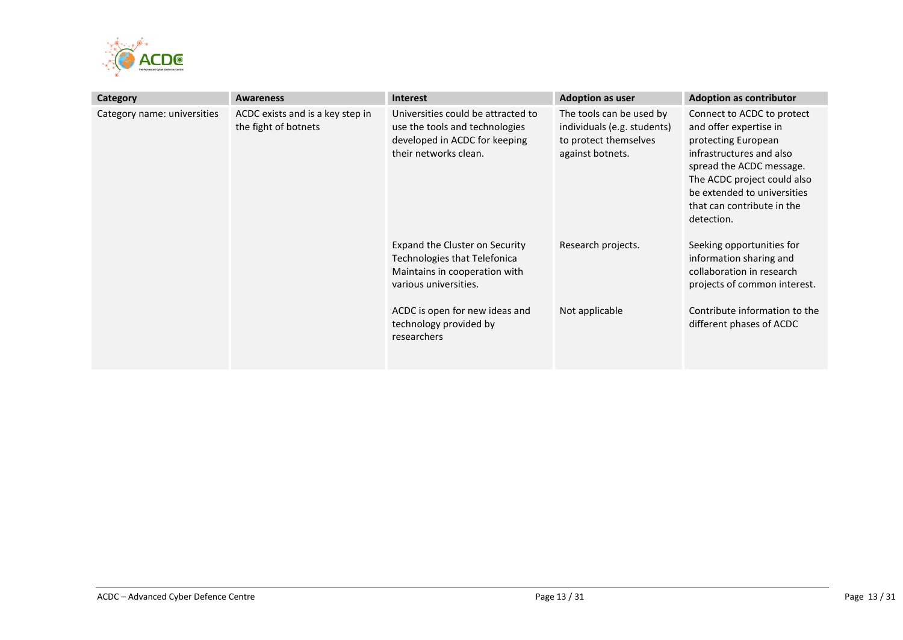

| Category                    | <b>Awareness</b>                                         | <b>Interest</b>                                                                                                                                                                                     | <b>Adoption as user</b>                                                                              | <b>Adoption as contributor</b>                                                                                                                                                                                                                |
|-----------------------------|----------------------------------------------------------|-----------------------------------------------------------------------------------------------------------------------------------------------------------------------------------------------------|------------------------------------------------------------------------------------------------------|-----------------------------------------------------------------------------------------------------------------------------------------------------------------------------------------------------------------------------------------------|
| Category name: universities | ACDC exists and is a key step in<br>the fight of botnets | Universities could be attracted to<br>use the tools and technologies<br>developed in ACDC for keeping<br>their networks clean.                                                                      | The tools can be used by<br>individuals (e.g. students)<br>to protect themselves<br>against botnets. | Connect to ACDC to protect<br>and offer expertise in<br>protecting European<br>infrastructures and also<br>spread the ACDC message.<br>The ACDC project could also<br>be extended to universities<br>that can contribute in the<br>detection. |
|                             |                                                          | Expand the Cluster on Security<br>Technologies that Telefonica<br>Maintains in cooperation with<br>various universities.<br>ACDC is open for new ideas and<br>technology provided by<br>researchers | Research projects.<br>Not applicable                                                                 | Seeking opportunities for<br>information sharing and<br>collaboration in research<br>projects of common interest.<br>Contribute information to the<br>different phases of ACDC                                                                |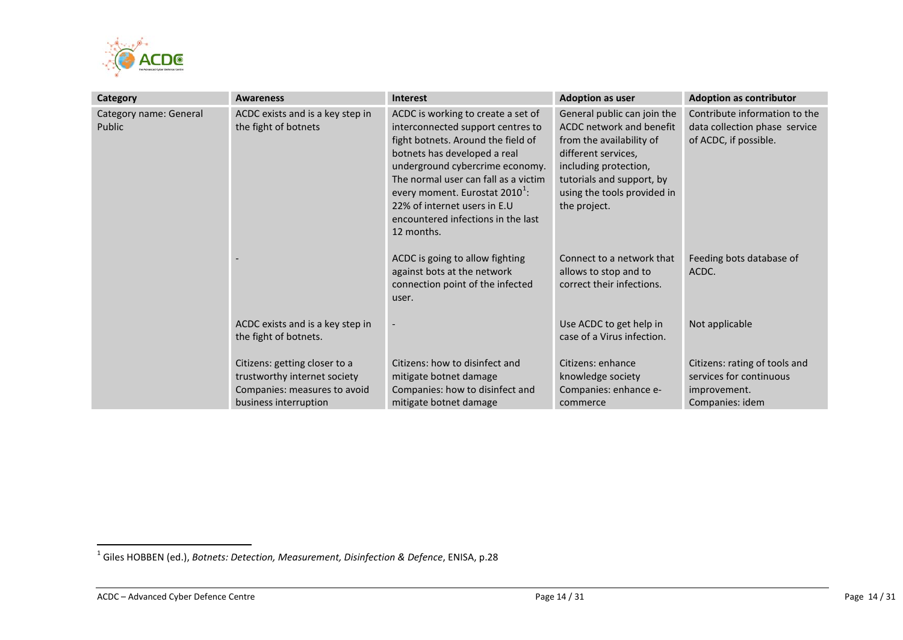<span id="page-13-0"></span>

| <b>Category</b>                  | <b>Awareness</b>                                                                                                       | <b>Interest</b>                                                                                                                                                                                                                                                                                                                                            | <b>Adoption as user</b>                                                                                                                                                                                         | <b>Adoption as contributor</b>                                                              |
|----------------------------------|------------------------------------------------------------------------------------------------------------------------|------------------------------------------------------------------------------------------------------------------------------------------------------------------------------------------------------------------------------------------------------------------------------------------------------------------------------------------------------------|-----------------------------------------------------------------------------------------------------------------------------------------------------------------------------------------------------------------|---------------------------------------------------------------------------------------------|
| Category name: General<br>Public | ACDC exists and is a key step in<br>the fight of botnets                                                               | ACDC is working to create a set of<br>interconnected support centres to<br>fight botnets. Around the field of<br>botnets has developed a real<br>underground cybercrime economy.<br>The normal user can fall as a victim<br>every moment. Eurostat 2010 <sup>1</sup> :<br>22% of internet users in E.U<br>encountered infections in the last<br>12 months. | General public can join the<br>ACDC network and benefit<br>from the availability of<br>different services,<br>including protection,<br>tutorials and support, by<br>using the tools provided in<br>the project. | Contribute information to the<br>data collection phase service<br>of ACDC, if possible.     |
|                                  |                                                                                                                        | ACDC is going to allow fighting<br>against bots at the network<br>connection point of the infected<br>user.                                                                                                                                                                                                                                                | Connect to a network that<br>allows to stop and to<br>correct their infections.                                                                                                                                 | Feeding bots database of<br>ACDC.                                                           |
|                                  | ACDC exists and is a key step in<br>the fight of botnets.                                                              |                                                                                                                                                                                                                                                                                                                                                            | Use ACDC to get help in<br>case of a Virus infection.                                                                                                                                                           | Not applicable                                                                              |
|                                  | Citizens: getting closer to a<br>trustworthy internet society<br>Companies: measures to avoid<br>business interruption | Citizens: how to disinfect and<br>mitigate botnet damage<br>Companies: how to disinfect and<br>mitigate botnet damage                                                                                                                                                                                                                                      | Citizens: enhance<br>knowledge society<br>Companies: enhance e-<br>commerce                                                                                                                                     | Citizens: rating of tools and<br>services for continuous<br>improvement.<br>Companies: idem |

 <sup>1</sup> Giles HOBBEN (ed.), *Botnets: Detection, Measurement, Disinfection & Defence*, ENISA, p.28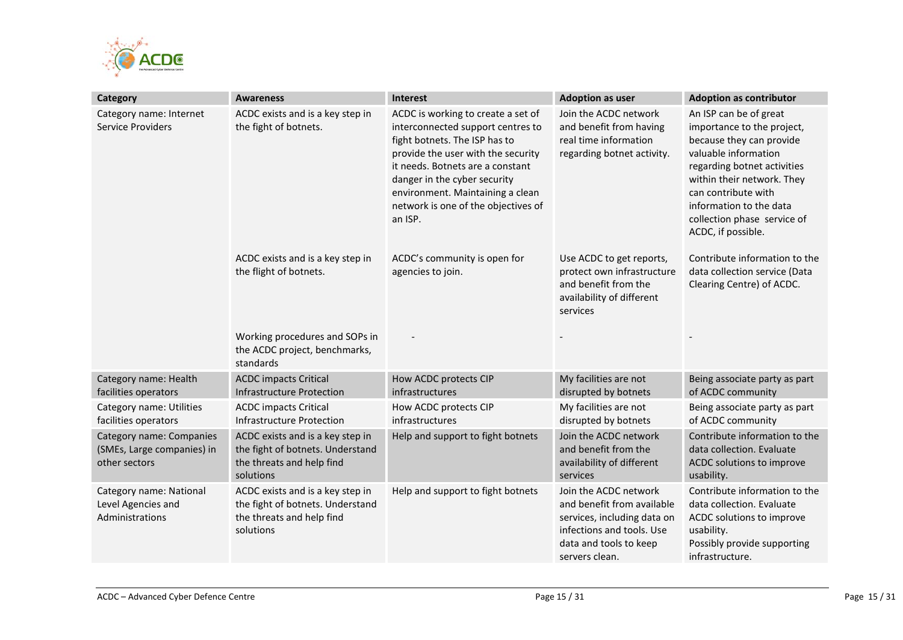

| Category                                                                | <b>Awareness</b>                                                                                               | Interest                                                                                                                                                                                                                                                                                                 | <b>Adoption as user</b>                                                                                                                                     | <b>Adoption as contributor</b>                                                                                                                                                                                                                                               |
|-------------------------------------------------------------------------|----------------------------------------------------------------------------------------------------------------|----------------------------------------------------------------------------------------------------------------------------------------------------------------------------------------------------------------------------------------------------------------------------------------------------------|-------------------------------------------------------------------------------------------------------------------------------------------------------------|------------------------------------------------------------------------------------------------------------------------------------------------------------------------------------------------------------------------------------------------------------------------------|
| Category name: Internet<br>Service Providers                            | ACDC exists and is a key step in<br>the fight of botnets.                                                      | ACDC is working to create a set of<br>interconnected support centres to<br>fight botnets. The ISP has to<br>provide the user with the security<br>it needs. Botnets are a constant<br>danger in the cyber security<br>environment. Maintaining a clean<br>network is one of the objectives of<br>an ISP. | Join the ACDC network<br>and benefit from having<br>real time information<br>regarding botnet activity.                                                     | An ISP can be of great<br>importance to the project,<br>because they can provide<br>valuable information<br>regarding botnet activities<br>within their network. They<br>can contribute with<br>information to the data<br>collection phase service of<br>ACDC, if possible. |
|                                                                         | ACDC exists and is a key step in<br>the flight of botnets.                                                     | ACDC's community is open for<br>agencies to join.                                                                                                                                                                                                                                                        | Use ACDC to get reports,<br>protect own infrastructure<br>and benefit from the<br>availability of different<br>services                                     | Contribute information to the<br>data collection service (Data<br>Clearing Centre) of ACDC.                                                                                                                                                                                  |
|                                                                         | Working procedures and SOPs in<br>the ACDC project, benchmarks,<br>standards                                   |                                                                                                                                                                                                                                                                                                          |                                                                                                                                                             |                                                                                                                                                                                                                                                                              |
| Category name: Health<br>facilities operators                           | <b>ACDC</b> impacts Critical<br>Infrastructure Protection                                                      | How ACDC protects CIP<br><b>infrastructures</b>                                                                                                                                                                                                                                                          | My facilities are not<br>disrupted by botnets                                                                                                               | Being associate party as part<br>of ACDC community                                                                                                                                                                                                                           |
| Category name: Utilities<br>facilities operators                        | <b>ACDC</b> impacts Critical<br><b>Infrastructure Protection</b>                                               | How ACDC protects CIP<br>infrastructures                                                                                                                                                                                                                                                                 | My facilities are not<br>disrupted by botnets                                                                                                               | Being associate party as part<br>of ACDC community                                                                                                                                                                                                                           |
| Category name: Companies<br>(SMEs, Large companies) in<br>other sectors | ACDC exists and is a key step in<br>the fight of botnets. Understand<br>the threats and help find<br>solutions | Help and support to fight botnets                                                                                                                                                                                                                                                                        | Join the ACDC network<br>and benefit from the<br>availability of different<br>services                                                                      | Contribute information to the<br>data collection. Evaluate<br>ACDC solutions to improve<br>usability.                                                                                                                                                                        |
| Category name: National<br>Level Agencies and<br>Administrations        | ACDC exists and is a key step in<br>the fight of botnets. Understand<br>the threats and help find<br>solutions | Help and support to fight botnets                                                                                                                                                                                                                                                                        | Join the ACDC network<br>and benefit from available<br>services, including data on<br>infections and tools. Use<br>data and tools to keep<br>servers clean. | Contribute information to the<br>data collection. Evaluate<br>ACDC solutions to improve<br>usability.<br>Possibly provide supporting<br>infrastructure.                                                                                                                      |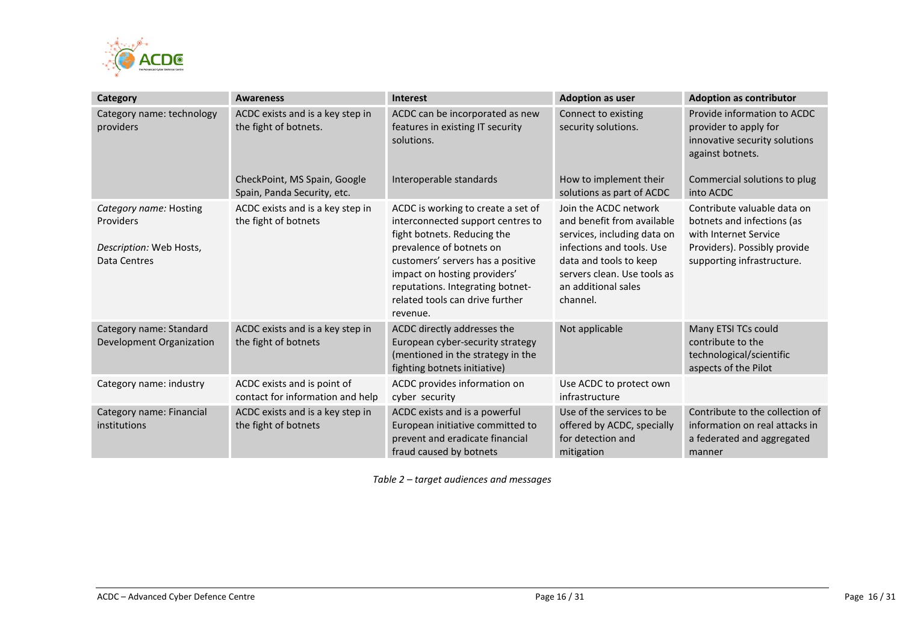

| Category                                                                       | <b>Awareness</b>                                                | <b>Interest</b>                                                                                                                                                                                                                                                                            | <b>Adoption as user</b>                                                                                                                                                                                     | <b>Adoption as contributor</b>                                                                                                                   |
|--------------------------------------------------------------------------------|-----------------------------------------------------------------|--------------------------------------------------------------------------------------------------------------------------------------------------------------------------------------------------------------------------------------------------------------------------------------------|-------------------------------------------------------------------------------------------------------------------------------------------------------------------------------------------------------------|--------------------------------------------------------------------------------------------------------------------------------------------------|
| Category name: technology<br>providers                                         | ACDC exists and is a key step in<br>the fight of botnets.       | ACDC can be incorporated as new<br>features in existing IT security<br>solutions.                                                                                                                                                                                                          | Connect to existing<br>security solutions.                                                                                                                                                                  | Provide information to ACDC<br>provider to apply for<br>innovative security solutions<br>against botnets.                                        |
|                                                                                | CheckPoint, MS Spain, Google<br>Spain, Panda Security, etc.     | Interoperable standards                                                                                                                                                                                                                                                                    | How to implement their<br>solutions as part of ACDC                                                                                                                                                         | Commercial solutions to plug<br>into ACDC                                                                                                        |
| Category name: Hosting<br>Providers<br>Description: Web Hosts,<br>Data Centres | ACDC exists and is a key step in<br>the fight of botnets        | ACDC is working to create a set of<br>interconnected support centres to<br>fight botnets. Reducing the<br>prevalence of botnets on<br>customers' servers has a positive<br>impact on hosting providers'<br>reputations. Integrating botnet-<br>related tools can drive further<br>revenue. | Join the ACDC network<br>and benefit from available<br>services, including data on<br>infections and tools. Use<br>data and tools to keep<br>servers clean. Use tools as<br>an additional sales<br>channel. | Contribute valuable data on<br>botnets and infections (as<br>with Internet Service<br>Providers). Possibly provide<br>supporting infrastructure. |
| Category name: Standard<br>Development Organization                            | ACDC exists and is a key step in<br>the fight of botnets        | ACDC directly addresses the<br>European cyber-security strategy<br>(mentioned in the strategy in the<br>fighting botnets initiative)                                                                                                                                                       | Not applicable                                                                                                                                                                                              | Many ETSI TCs could<br>contribute to the<br>technological/scientific<br>aspects of the Pilot                                                     |
| Category name: industry                                                        | ACDC exists and is point of<br>contact for information and help | ACDC provides information on<br>cyber security                                                                                                                                                                                                                                             | Use ACDC to protect own<br>infrastructure                                                                                                                                                                   |                                                                                                                                                  |
| Category name: Financial<br>institutions                                       | ACDC exists and is a key step in<br>the fight of botnets        | ACDC exists and is a powerful<br>European initiative committed to<br>prevent and eradicate financial<br>fraud caused by botnets                                                                                                                                                            | Use of the services to be<br>offered by ACDC, specially<br>for detection and<br>mitigation                                                                                                                  | Contribute to the collection of<br>information on real attacks in<br>a federated and aggregated<br>manner                                        |

*Table 2 – target audiences and messages*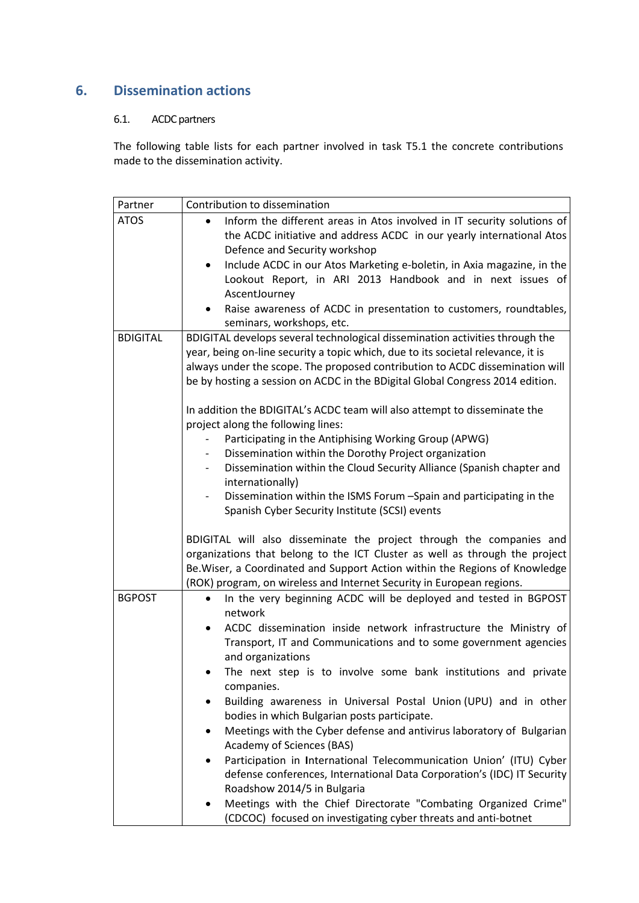# <span id="page-16-1"></span><span id="page-16-0"></span>**6. Dissemination actions**

### 6.1. ACDC partners

The following table lists for each partner involved in task T5.1 the concrete contributions made to the dissemination activity.

| Partner         | Contribution to dissemination                                                                                                                                                                                                                                                                                                                                                                                                                                                                                                                                                                                                                                                                                                                                                                                                                                                                                                                                                                                                                                  |
|-----------------|----------------------------------------------------------------------------------------------------------------------------------------------------------------------------------------------------------------------------------------------------------------------------------------------------------------------------------------------------------------------------------------------------------------------------------------------------------------------------------------------------------------------------------------------------------------------------------------------------------------------------------------------------------------------------------------------------------------------------------------------------------------------------------------------------------------------------------------------------------------------------------------------------------------------------------------------------------------------------------------------------------------------------------------------------------------|
| <b>ATOS</b>     | Inform the different areas in Atos involved in IT security solutions of<br>the ACDC initiative and address ACDC in our yearly international Atos<br>Defence and Security workshop<br>Include ACDC in our Atos Marketing e-boletin, in Axia magazine, in the<br>$\bullet$<br>Lookout Report, in ARI 2013 Handbook and in next issues of<br>AscentJourney<br>Raise awareness of ACDC in presentation to customers, roundtables,<br>seminars, workshops, etc.                                                                                                                                                                                                                                                                                                                                                                                                                                                                                                                                                                                                     |
| <b>BDIGITAL</b> | BDIGITAL develops several technological dissemination activities through the<br>year, being on-line security a topic which, due to its societal relevance, it is<br>always under the scope. The proposed contribution to ACDC dissemination will<br>be by hosting a session on ACDC in the BDigital Global Congress 2014 edition.<br>In addition the BDIGITAL's ACDC team will also attempt to disseminate the<br>project along the following lines:<br>Participating in the Antiphising Working Group (APWG)<br>Dissemination within the Dorothy Project organization<br>Dissemination within the Cloud Security Alliance (Spanish chapter and<br>$\overline{\phantom{0}}$<br>internationally)<br>Dissemination within the ISMS Forum -Spain and participating in the<br>Spanish Cyber Security Institute (SCSI) events<br>BDIGITAL will also disseminate the project through the companies and<br>organizations that belong to the ICT Cluster as well as through the project<br>Be. Wiser, a Coordinated and Support Action within the Regions of Knowledge |
| <b>BGPOST</b>   | (ROK) program, on wireless and Internet Security in European regions.<br>In the very beginning ACDC will be deployed and tested in BGPOST<br>network<br>ACDC dissemination inside network infrastructure the Ministry of<br>$\bullet$<br>Transport, IT and Communications and to some government agencies<br>and organizations<br>The next step is to involve some bank institutions and private<br>companies.<br>Building awareness in Universal Postal Union (UPU) and in other<br>bodies in which Bulgarian posts participate.<br>Meetings with the Cyber defense and antivirus laboratory of Bulgarian<br>Academy of Sciences (BAS)<br>Participation in International Telecommunication Union' (ITU) Cyber<br>defense conferences, International Data Corporation's (IDC) IT Security<br>Roadshow 2014/5 in Bulgaria<br>Meetings with the Chief Directorate "Combating Organized Crime"<br>٠<br>(CDCOC) focused on investigating cyber threats and anti-botnet                                                                                             |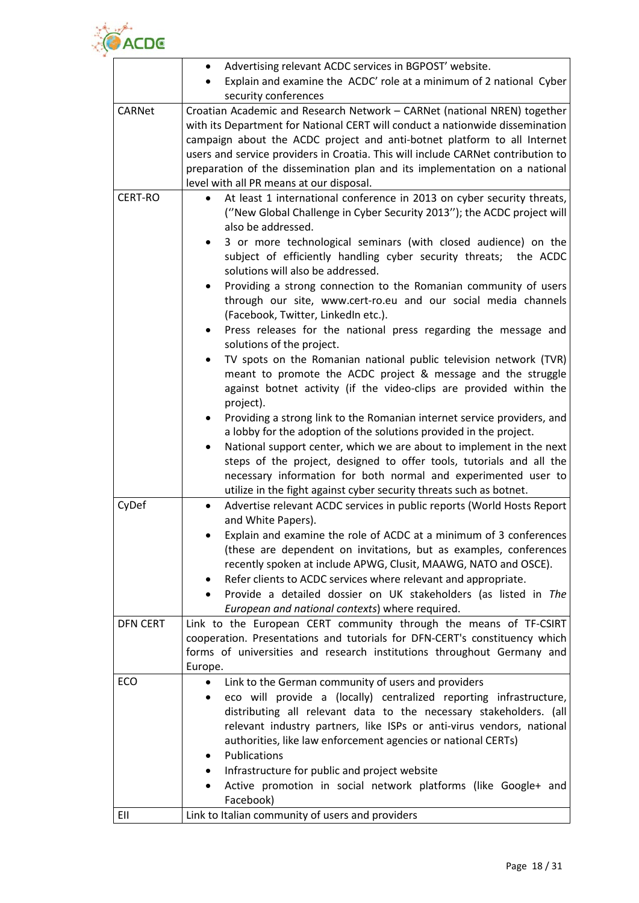

|                 | Advertising relevant ACDC services in BGPOST' website.<br>٠                                                                                                                                                                                                                                                                                                                                                                                                                                                                                                                                                                                                                                                                                                                                                                                                                                                                                                                                                                                                                                                                                                                                                                                  |
|-----------------|----------------------------------------------------------------------------------------------------------------------------------------------------------------------------------------------------------------------------------------------------------------------------------------------------------------------------------------------------------------------------------------------------------------------------------------------------------------------------------------------------------------------------------------------------------------------------------------------------------------------------------------------------------------------------------------------------------------------------------------------------------------------------------------------------------------------------------------------------------------------------------------------------------------------------------------------------------------------------------------------------------------------------------------------------------------------------------------------------------------------------------------------------------------------------------------------------------------------------------------------|
|                 | Explain and examine the ACDC' role at a minimum of 2 national Cyber                                                                                                                                                                                                                                                                                                                                                                                                                                                                                                                                                                                                                                                                                                                                                                                                                                                                                                                                                                                                                                                                                                                                                                          |
|                 | security conferences                                                                                                                                                                                                                                                                                                                                                                                                                                                                                                                                                                                                                                                                                                                                                                                                                                                                                                                                                                                                                                                                                                                                                                                                                         |
| <b>CARNet</b>   | Croatian Academic and Research Network - CARNet (national NREN) together<br>with its Department for National CERT will conduct a nationwide dissemination<br>campaign about the ACDC project and anti-botnet platform to all Internet<br>users and service providers in Croatia. This will include CARNet contribution to<br>preparation of the dissemination plan and its implementation on a national<br>level with all PR means at our disposal.                                                                                                                                                                                                                                                                                                                                                                                                                                                                                                                                                                                                                                                                                                                                                                                          |
| CERT-RO         | At least 1 international conference in 2013 on cyber security threats,<br>("New Global Challenge in Cyber Security 2013"); the ACDC project will<br>also be addressed.<br>3 or more technological seminars (with closed audience) on the<br>٠<br>subject of efficiently handling cyber security threats; the ACDC<br>solutions will also be addressed.<br>Providing a strong connection to the Romanian community of users<br>$\bullet$<br>through our site, www.cert-ro.eu and our social media channels<br>(Facebook, Twitter, LinkedIn etc.).<br>Press releases for the national press regarding the message and<br>solutions of the project.<br>TV spots on the Romanian national public television network (TVR)<br>meant to promote the ACDC project & message and the struggle<br>against botnet activity (if the video-clips are provided within the<br>project).<br>Providing a strong link to the Romanian internet service providers, and<br>a lobby for the adoption of the solutions provided in the project.<br>National support center, which we are about to implement in the next<br>steps of the project, designed to offer tools, tutorials and all the<br>necessary information for both normal and experimented user to |
|                 | utilize in the fight against cyber security threats such as botnet.                                                                                                                                                                                                                                                                                                                                                                                                                                                                                                                                                                                                                                                                                                                                                                                                                                                                                                                                                                                                                                                                                                                                                                          |
| CyDef           | Advertise relevant ACDC services in public reports (World Hosts Report<br>$\bullet$<br>and White Papers).<br>Explain and examine the role of ACDC at a minimum of 3 conferences<br>(these are dependent on invitations, but as examples, conferences<br>recently spoken at include APWG, Clusit, MAAWG, NATO and OSCE).<br>Refer clients to ACDC services where relevant and appropriate.<br>Provide a detailed dossier on UK stakeholders (as listed in The<br>European and national contexts) where required.                                                                                                                                                                                                                                                                                                                                                                                                                                                                                                                                                                                                                                                                                                                              |
| <b>DFN CERT</b> | Link to the European CERT community through the means of TF-CSIRT<br>cooperation. Presentations and tutorials for DFN-CERT's constituency which<br>forms of universities and research institutions throughout Germany and<br>Europe.                                                                                                                                                                                                                                                                                                                                                                                                                                                                                                                                                                                                                                                                                                                                                                                                                                                                                                                                                                                                         |
| ECO             | Link to the German community of users and providers<br>eco will provide a (locally) centralized reporting infrastructure,<br>٠<br>distributing all relevant data to the necessary stakeholders. (all<br>relevant industry partners, like ISPs or anti-virus vendors, national<br>authorities, like law enforcement agencies or national CERTs)<br>Publications<br>٠<br>Infrastructure for public and project website<br>Active promotion in social network platforms (like Google+ and<br>Facebook)                                                                                                                                                                                                                                                                                                                                                                                                                                                                                                                                                                                                                                                                                                                                          |
| EII             | Link to Italian community of users and providers                                                                                                                                                                                                                                                                                                                                                                                                                                                                                                                                                                                                                                                                                                                                                                                                                                                                                                                                                                                                                                                                                                                                                                                             |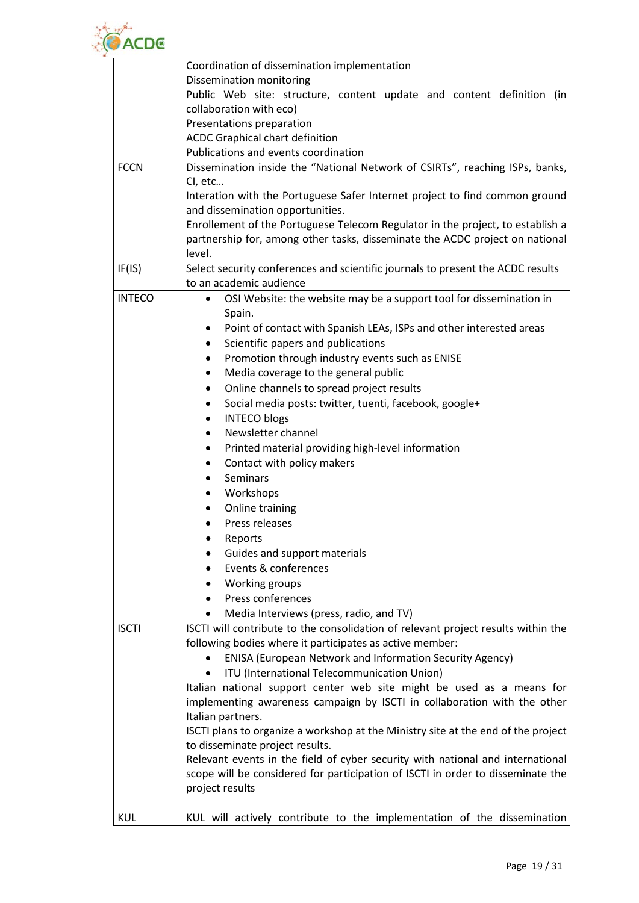

|               | Coordination of dissemination implementation                                                                                 |
|---------------|------------------------------------------------------------------------------------------------------------------------------|
|               | Dissemination monitoring                                                                                                     |
|               | Public Web site: structure, content update and content definition (in                                                        |
|               | collaboration with eco)                                                                                                      |
|               | Presentations preparation                                                                                                    |
|               | ACDC Graphical chart definition                                                                                              |
|               | Publications and events coordination                                                                                         |
| <b>FCCN</b>   | Dissemination inside the "National Network of CSIRTs", reaching ISPs, banks,                                                 |
|               | CI, etc                                                                                                                      |
|               | Interation with the Portuguese Safer Internet project to find common ground                                                  |
|               | and dissemination opportunities.                                                                                             |
|               | Enrollement of the Portuguese Telecom Regulator in the project, to establish a                                               |
|               | partnership for, among other tasks, disseminate the ACDC project on national                                                 |
|               | level.                                                                                                                       |
| IF(IS)        | Select security conferences and scientific journals to present the ACDC results                                              |
|               | to an academic audience                                                                                                      |
| <b>INTECO</b> | OSI Website: the website may be a support tool for dissemination in<br>$\bullet$                                             |
|               | Spain.                                                                                                                       |
|               | Point of contact with Spanish LEAs, ISPs and other interested areas<br>٠                                                     |
|               | Scientific papers and publications<br>٠                                                                                      |
|               | Promotion through industry events such as ENISE<br>$\bullet$                                                                 |
|               | Media coverage to the general public<br>٠                                                                                    |
|               | Online channels to spread project results<br>٠                                                                               |
|               | Social media posts: twitter, tuenti, facebook, google+<br>$\bullet$                                                          |
|               | <b>INTECO blogs</b><br>٠<br>Newsletter channel                                                                               |
|               | ٠                                                                                                                            |
|               | Printed material providing high-level information<br>٠                                                                       |
|               | Contact with policy makers<br><b>Seminars</b><br>$\bullet$                                                                   |
|               | Workshops                                                                                                                    |
|               | Online training                                                                                                              |
|               | Press releases                                                                                                               |
|               |                                                                                                                              |
|               | Reports                                                                                                                      |
|               | Guides and support materials<br>Events & conferences                                                                         |
|               | Working groups                                                                                                               |
|               | Press conferences                                                                                                            |
|               |                                                                                                                              |
| <b>ISCTI</b>  | Media Interviews (press, radio, and TV)<br>ISCTI will contribute to the consolidation of relevant project results within the |
|               | following bodies where it participates as active member:                                                                     |
|               | <b>ENISA (European Network and Information Security Agency)</b>                                                              |
|               | ITU (International Telecommunication Union)                                                                                  |
|               | Italian national support center web site might be used as a means for                                                        |
|               | implementing awareness campaign by ISCTI in collaboration with the other                                                     |
|               | Italian partners.                                                                                                            |
|               | ISCTI plans to organize a workshop at the Ministry site at the end of the project                                            |
|               | to disseminate project results.                                                                                              |
|               | Relevant events in the field of cyber security with national and international                                               |
|               | scope will be considered for participation of ISCTI in order to disseminate the                                              |
|               | project results                                                                                                              |
|               |                                                                                                                              |
| <b>KUL</b>    | KUL will actively contribute to the implementation of the dissemination                                                      |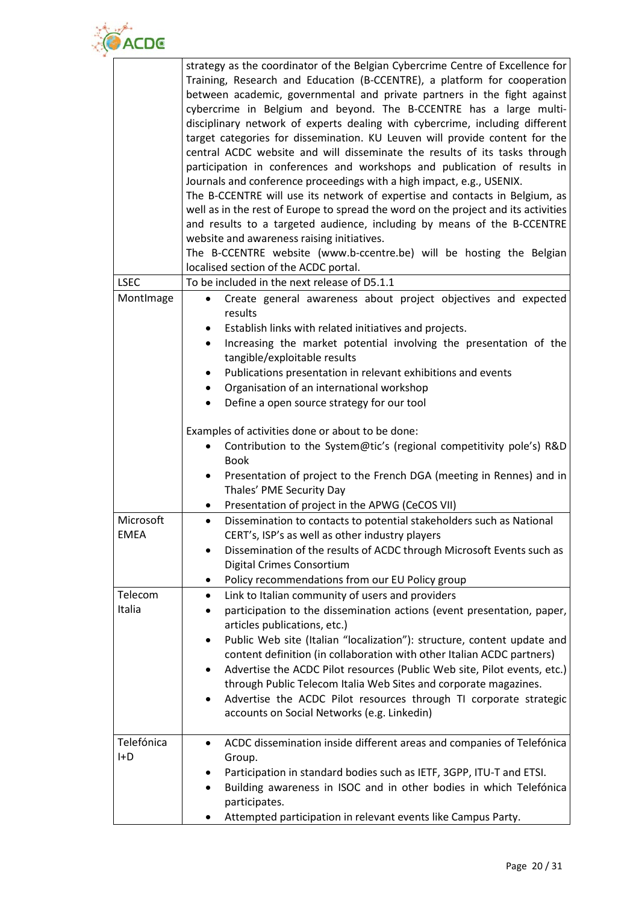

|             | strategy as the coordinator of the Belgian Cybercrime Centre of Excellence for       |
|-------------|--------------------------------------------------------------------------------------|
|             | Training, Research and Education (B-CCENTRE), a platform for cooperation             |
|             | between academic, governmental and private partners in the fight against             |
|             | cybercrime in Belgium and beyond. The B-CCENTRE has a large multi-                   |
|             | disciplinary network of experts dealing with cybercrime, including different         |
|             | target categories for dissemination. KU Leuven will provide content for the          |
|             | central ACDC website and will disseminate the results of its tasks through           |
|             | participation in conferences and workshops and publication of results in             |
|             | Journals and conference proceedings with a high impact, e.g., USENIX.                |
|             | The B-CCENTRE will use its network of expertise and contacts in Belgium, as          |
|             | well as in the rest of Europe to spread the word on the project and its activities   |
|             | and results to a targeted audience, including by means of the B-CCENTRE              |
|             | website and awareness raising initiatives.                                           |
|             | The B-CCENTRE website (www.b-ccentre.be) will be hosting the Belgian                 |
|             | localised section of the ACDC portal.                                                |
| <b>LSEC</b> | To be included in the next release of D5.1.1                                         |
| MontImage   | Create general awareness about project objectives and expected                       |
|             | results                                                                              |
|             | Establish links with related initiatives and projects.<br>$\bullet$                  |
|             | Increasing the market potential involving the presentation of the<br>$\bullet$       |
|             | tangible/exploitable results                                                         |
|             | Publications presentation in relevant exhibitions and events<br>$\bullet$            |
|             | Organisation of an international workshop                                            |
|             | Define a open source strategy for our tool<br>$\bullet$                              |
|             |                                                                                      |
|             | Examples of activities done or about to be done:                                     |
|             | Contribution to the System@tic's (regional competitivity pole's) R&D                 |
|             | <b>Book</b>                                                                          |
|             | Presentation of project to the French DGA (meeting in Rennes) and in                 |
|             | Thales' PME Security Day                                                             |
|             | Presentation of project in the APWG (CeCOS VII)<br>$\bullet$                         |
| Microsoft   | Dissemination to contacts to potential stakeholders such as National<br>$\bullet$    |
| <b>EMEA</b> | CERT's, ISP's as well as other industry players                                      |
|             | Dissemination of the results of ACDC through Microsoft Events such as                |
|             | Digital Crimes Consortium                                                            |
|             | Policy recommendations from our EU Policy group                                      |
| Telecom     | Link to Italian community of users and providers<br>$\bullet$                        |
| Italia      | participation to the dissemination actions (event presentation, paper,               |
|             | articles publications, etc.)                                                         |
|             | Public Web site (Italian "localization"): structure, content update and<br>$\bullet$ |
|             | content definition (in collaboration with other Italian ACDC partners)               |
|             | Advertise the ACDC Pilot resources (Public Web site, Pilot events, etc.)             |
|             | through Public Telecom Italia Web Sites and corporate magazines.                     |
|             | Advertise the ACDC Pilot resources through TI corporate strategic                    |
|             | accounts on Social Networks (e.g. Linkedin)                                          |
|             |                                                                                      |
| Telefónica  | ACDC dissemination inside different areas and companies of Telefónica<br>٠           |
| H           | Group.                                                                               |
|             | Participation in standard bodies such as IETF, 3GPP, ITU-T and ETSI.                 |
|             | Building awareness in ISOC and in other bodies in which Telefónica                   |
|             | participates.                                                                        |
|             |                                                                                      |
|             | Attempted participation in relevant events like Campus Party.                        |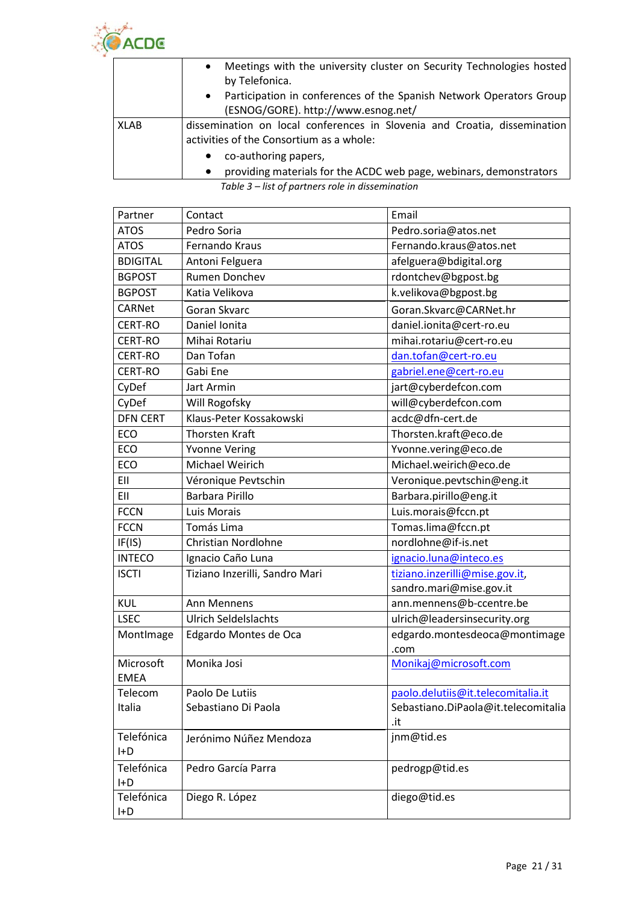

|             | Meetings with the university cluster on Security Technologies hosted<br>$\bullet$<br>by Telefonica.                   |
|-------------|-----------------------------------------------------------------------------------------------------------------------|
|             | Participation in conferences of the Spanish Network Operators Group<br>$\bullet$                                      |
|             | (ESNOG/GORE). http://www.esnog.net/                                                                                   |
| <b>XLAB</b> | dissemination on local conferences in Slovenia and Croatia, dissemination<br>activities of the Consortium as a whole: |
|             | co-authoring papers,                                                                                                  |
|             | providing materials for the ACDC web page, webinars, demonstrators                                                    |

*Table 3 – list of partners role in dissemination*

| Partner         | Contact                        | Email                               |
|-----------------|--------------------------------|-------------------------------------|
| <b>ATOS</b>     | Pedro Soria                    | Pedro.soria@atos.net                |
| <b>ATOS</b>     | Fernando Kraus                 | Fernando.kraus@atos.net             |
| <b>BDIGITAL</b> | Antoni Felguera                | afelguera@bdigital.org              |
| <b>BGPOST</b>   | Rumen Donchev                  | rdontchev@bgpost.bg                 |
| <b>BGPOST</b>   | Katia Velikova                 | k.velikova@bgpost.bg                |
| <b>CARNet</b>   | Goran Skvarc                   | Goran.Skvarc@CARNet.hr              |
| CERT-RO         | Daniel Ionita                  | daniel.ionita@cert-ro.eu            |
| <b>CERT-RO</b>  | Mihai Rotariu                  | mihai.rotariu@cert-ro.eu            |
| <b>CERT-RO</b>  | Dan Tofan                      | dan.tofan@cert-ro.eu                |
| <b>CERT-RO</b>  | Gabi Ene                       | gabriel.ene@cert-ro.eu              |
| CyDef           | Jart Armin                     | jart@cyberdefcon.com                |
| CyDef           | Will Rogofsky                  | will@cyberdefcon.com                |
| <b>DFN CERT</b> | Klaus-Peter Kossakowski        | acdc@dfn-cert.de                    |
| ECO             | <b>Thorsten Kraft</b>          | Thorsten.kraft@eco.de               |
| ECO             | <b>Yvonne Vering</b>           | Yvonne.vering@eco.de                |
| ECO             | Michael Weirich                | Michael.weirich@eco.de              |
| EII             | Véronique Pevtschin            | Veronique.pevtschin@eng.it          |
| EII             | <b>Barbara Pirillo</b>         | Barbara.pirillo@eng.it              |
| <b>FCCN</b>     | Luis Morais                    | Luis.morais@fccn.pt                 |
| <b>FCCN</b>     | Tomás Lima                     | Tomas.lima@fccn.pt                  |
| IF(IS)          | Christian Nordlohne            | nordlohne@if-is.net                 |
| <b>INTECO</b>   | Ignacio Caño Luna              | ignacio.luna@inteco.es              |
| <b>ISCTI</b>    | Tiziano Inzerilli, Sandro Mari | tiziano.inzerilli@mise.gov.it,      |
|                 |                                | sandro.mari@mise.gov.it             |
| <b>KUL</b>      | Ann Mennens                    | ann.mennens@b-ccentre.be            |
| <b>LSEC</b>     | <b>Ulrich Seldelslachts</b>    | ulrich@leadersinsecurity.org        |
| MontImage       | Edgardo Montes de Oca          | edgardo.montesdeoca@montimage       |
|                 |                                | .com                                |
| Microsoft       | Monika Josi                    | Monikaj@microsoft.com               |
| <b>EMEA</b>     |                                |                                     |
| Telecom         | Paolo De Lutiis                | paolo.delutiis@it.telecomitalia.it  |
| Italia          | Sebastiano Di Paola            | Sebastiano.DiPaola@it.telecomitalia |
|                 |                                | .it                                 |
| Telefónica      | Jerónimo Núñez Mendoza         | jnm@tid.es                          |
| $H + D$         |                                |                                     |
| Telefónica      | Pedro García Parra             | pedrogp@tid.es                      |
| H               |                                |                                     |
| Telefónica<br>H | Diego R. López                 | diego@tid.es                        |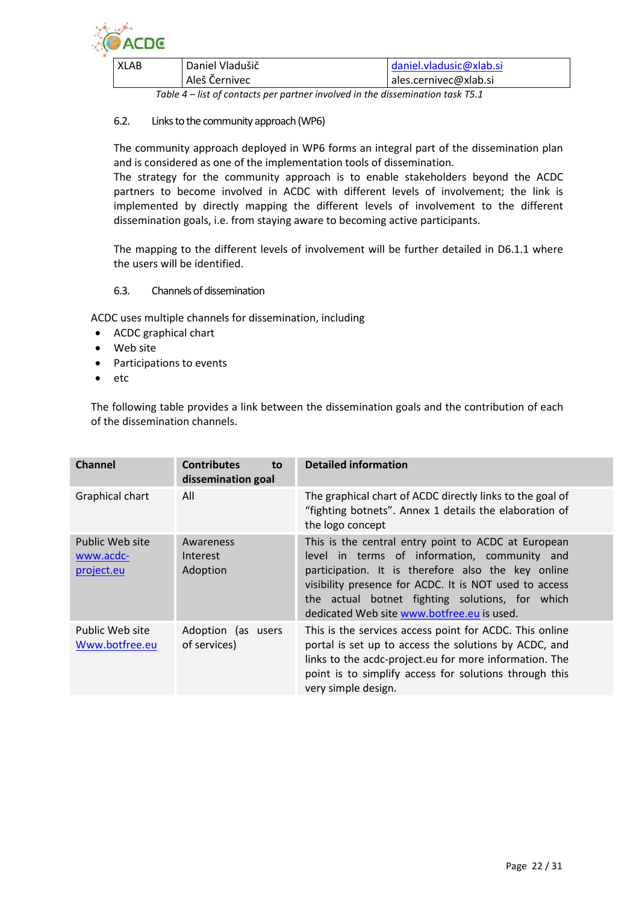

| XLAB | Daniel Vladušič | daniel.vladusic@xlab.si |
|------|-----------------|-------------------------|
|      | Aleš Černivec   | ales.cernivec@xlab.si   |

*Table 4 – list of contacts per partner involved in the dissemination task T5.1*

#### <span id="page-21-0"></span>6.2. Links to the community approach (WP6)

The community approach deployed in WP6 forms an integral part of the dissemination plan and is considered as one of the implementation tools of dissemination.

The strategy for the community approach is to enable stakeholders beyond the ACDC partners to become involved in ACDC with different levels of involvement; the link is implemented by directly mapping the different levels of involvement to the different dissemination goals, i.e. from staying aware to becoming active participants.

The mapping to the different levels of involvement will be further detailed in D6.1.1 where the users will be identified.

#### <span id="page-21-1"></span>6.3. Channels of dissemination

ACDC uses multiple channels for dissemination, including

- ACDC graphical chart
- Web site
- Participations to events
- etc

The following table provides a link between the dissemination goals and the contribution of each of the dissemination channels.

| <b>Channel</b>                             | <b>Contributes</b><br>to<br>dissemination goal | <b>Detailed information</b>                                                                                                                                                                                                                                                                                          |
|--------------------------------------------|------------------------------------------------|----------------------------------------------------------------------------------------------------------------------------------------------------------------------------------------------------------------------------------------------------------------------------------------------------------------------|
| <b>Graphical chart</b>                     | All                                            | The graphical chart of ACDC directly links to the goal of<br>"fighting botnets". Annex 1 details the elaboration of<br>the logo concept                                                                                                                                                                              |
| Public Web site<br>www.acdc-<br>project.eu | Awareness<br>Interest<br>Adoption              | This is the central entry point to ACDC at European<br>level in terms of information, community and<br>participation. It is therefore also the key online<br>visibility presence for ACDC. It is NOT used to access<br>the actual botnet fighting solutions, for which<br>dedicated Web site www.botfree.eu is used. |
| Public Web site<br>Www.botfree.eu          | Adoption (as users<br>of services)             | This is the services access point for ACDC. This online<br>portal is set up to access the solutions by ACDC, and<br>links to the acdc-project.eu for more information. The<br>point is to simplify access for solutions through this<br>very simple design.                                                          |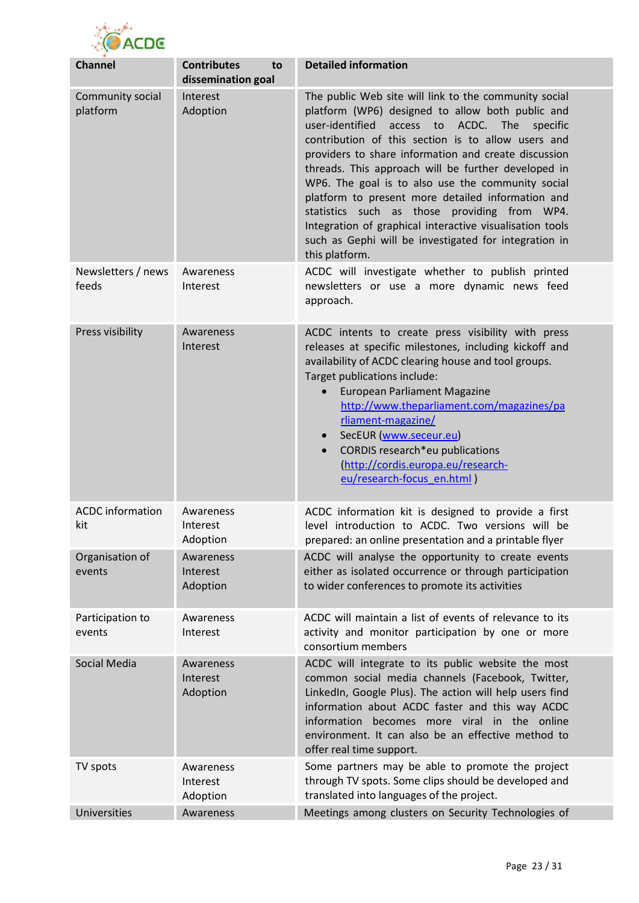

| <b>Channel</b>                 | <b>Contributes</b><br>to<br>dissemination goal | <b>Detailed information</b>                                                                                                                                                                                                                                                                                                                                                                                                                                                                                                                                                                                                                            |
|--------------------------------|------------------------------------------------|--------------------------------------------------------------------------------------------------------------------------------------------------------------------------------------------------------------------------------------------------------------------------------------------------------------------------------------------------------------------------------------------------------------------------------------------------------------------------------------------------------------------------------------------------------------------------------------------------------------------------------------------------------|
| Community social<br>platform   | Interest<br>Adoption                           | The public Web site will link to the community social<br>platform (WP6) designed to allow both public and<br>user-identified<br>access<br>$\mathsf{to}$<br>ACDC. The<br>specific<br>contribution of this section is to allow users and<br>providers to share information and create discussion<br>threads. This approach will be further developed in<br>WP6. The goal is to also use the community social<br>platform to present more detailed information and<br>statistics such as those providing from WP4.<br>Integration of graphical interactive visualisation tools<br>such as Gephi will be investigated for integration in<br>this platform. |
| Newsletters / news<br>feeds    | Awareness<br>Interest                          | ACDC will investigate whether to publish printed<br>newsletters or use a more dynamic news feed<br>approach.                                                                                                                                                                                                                                                                                                                                                                                                                                                                                                                                           |
| Press visibility               | Awareness<br>Interest                          | ACDC intents to create press visibility with press<br>releases at specific milestones, including kickoff and<br>availability of ACDC clearing house and tool groups.<br>Target publications include:<br><b>European Parliament Magazine</b><br>$\bullet$<br>http://www.theparliament.com/magazines/pa<br>rliament-magazine/<br>SecEUR (www.seceur.eu)<br>$\bullet$<br>CORDIS research*eu publications<br>$\bullet$<br>(http://cordis.europa.eu/research-<br>eu/research-focus en.html)                                                                                                                                                                 |
| <b>ACDC</b> information<br>kit | Awareness<br>Interest<br>Adoption              | ACDC information kit is designed to provide a first<br>level introduction to ACDC. Two versions will be<br>prepared: an online presentation and a printable flyer                                                                                                                                                                                                                                                                                                                                                                                                                                                                                      |
| Organisation of<br>events      | Awareness<br>Interest<br>Adoption              | ACDC will analyse the opportunity to create events<br>either as isolated occurrence or through participation<br>to wider conferences to promote its activities                                                                                                                                                                                                                                                                                                                                                                                                                                                                                         |
| Participation to<br>events     | Awareness<br>Interest                          | ACDC will maintain a list of events of relevance to its<br>activity and monitor participation by one or more<br>consortium members                                                                                                                                                                                                                                                                                                                                                                                                                                                                                                                     |
| Social Media                   | Awareness<br>Interest<br>Adoption              | ACDC will integrate to its public website the most<br>common social media channels (Facebook, Twitter,<br>LinkedIn, Google Plus). The action will help users find<br>information about ACDC faster and this way ACDC<br>information becomes more viral in the online<br>environment. It can also be an effective method to<br>offer real time support.                                                                                                                                                                                                                                                                                                 |
| TV spots                       | Awareness<br>Interest<br>Adoption              | Some partners may be able to promote the project<br>through TV spots. Some clips should be developed and<br>translated into languages of the project.                                                                                                                                                                                                                                                                                                                                                                                                                                                                                                  |
| Universities                   | Awareness                                      | Meetings among clusters on Security Technologies of                                                                                                                                                                                                                                                                                                                                                                                                                                                                                                                                                                                                    |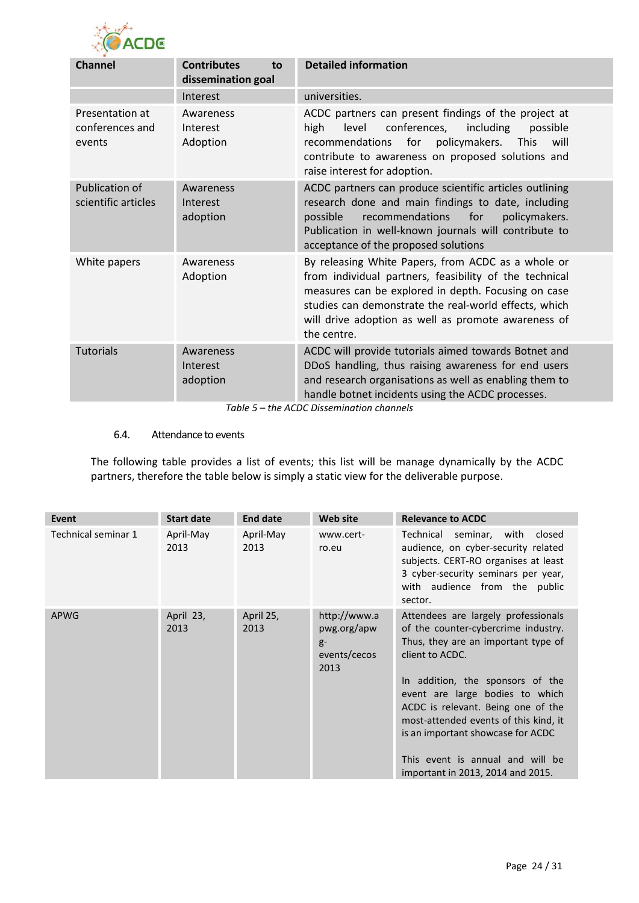

| <b>Channel</b>                               | <b>Contributes</b><br>to<br>dissemination goal | <b>Detailed information</b>                                                                                                                                                                                                                                                                        |  |  |
|----------------------------------------------|------------------------------------------------|----------------------------------------------------------------------------------------------------------------------------------------------------------------------------------------------------------------------------------------------------------------------------------------------------|--|--|
|                                              | Interest                                       | universities.                                                                                                                                                                                                                                                                                      |  |  |
| Presentation at<br>conferences and<br>events | Awareness<br>Interest<br>Adoption              | ACDC partners can present findings of the project at<br>level<br>conferences,<br>including<br>high<br>possible<br>policymakers.<br>recommendations<br>for<br><b>This</b><br>will<br>contribute to awareness on proposed solutions and<br>raise interest for adoption.                              |  |  |
| <b>Publication of</b><br>scientific articles | Awareness<br>Interest<br>adoption              | ACDC partners can produce scientific articles outlining<br>research done and main findings to date, including<br>recommendations<br>possible<br>for<br>policymakers.<br>Publication in well-known journals will contribute to<br>acceptance of the proposed solutions                              |  |  |
| White papers                                 | Awareness<br>Adoption                          | By releasing White Papers, from ACDC as a whole or<br>from individual partners, feasibility of the technical<br>measures can be explored in depth. Focusing on case<br>studies can demonstrate the real-world effects, which<br>will drive adoption as well as promote awareness of<br>the centre. |  |  |
| <b>Tutorials</b>                             | Awareness<br>Interest<br>adoption              | ACDC will provide tutorials aimed towards Botnet and<br>DDoS handling, thus raising awareness for end users<br>and research organisations as well as enabling them to<br>handle botnet incidents using the ACDC processes.                                                                         |  |  |

*Table 5 – the ACDC Dissemination channels*

#### <span id="page-23-0"></span>6.4. Attendance to events

The following table provides a list of events; this list will be manage dynamically by the ACDC partners, therefore the table below is simply a static view for the deliverable purpose.

| Event               | <b>Start date</b> | <b>End date</b>   | <b>Web site</b>                                             | <b>Relevance to ACDC</b>                                                                                                                                                                                                                                                                                                                                                                                 |
|---------------------|-------------------|-------------------|-------------------------------------------------------------|----------------------------------------------------------------------------------------------------------------------------------------------------------------------------------------------------------------------------------------------------------------------------------------------------------------------------------------------------------------------------------------------------------|
| Technical seminar 1 | April-May<br>2013 | April-May<br>2013 | www.cert-<br>ro.eu                                          | Technical seminar, with<br>closed<br>audience, on cyber-security related<br>subjects. CERT-RO organises at least<br>3 cyber-security seminars per year,<br>with audience from the public<br>sector.                                                                                                                                                                                                      |
| <b>APWG</b>         | April 23,<br>2013 | April 25,<br>2013 | http://www.a<br>pwg.org/apw<br>$g-$<br>events/cecos<br>2013 | Attendees are largely professionals<br>of the counter-cybercrime industry.<br>Thus, they are an important type of<br>client to ACDC.<br>In addition, the sponsors of the<br>event are large bodies to which<br>ACDC is relevant. Being one of the<br>most-attended events of this kind, it<br>is an important showcase for ACDC<br>This event is annual and will be<br>important in 2013, 2014 and 2015. |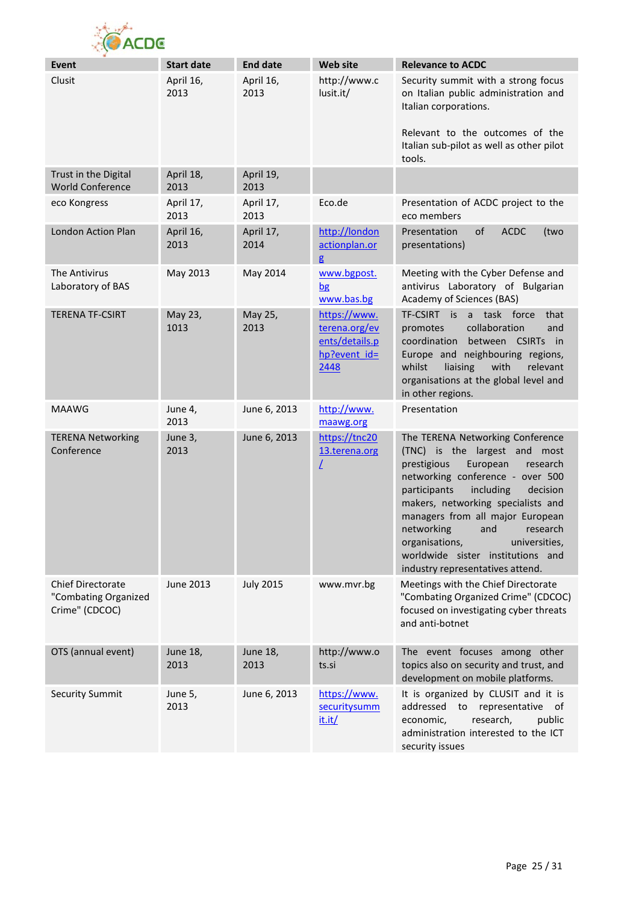

| <b>Event</b>                                                | <b>Start date</b>       | <b>End date</b>   | <b>Web site</b>                                                         | <b>Relevance to ACDC</b>                                                                                                                                                                                                                                                                                                                                                                                     |
|-------------------------------------------------------------|-------------------------|-------------------|-------------------------------------------------------------------------|--------------------------------------------------------------------------------------------------------------------------------------------------------------------------------------------------------------------------------------------------------------------------------------------------------------------------------------------------------------------------------------------------------------|
| Clusit                                                      | April 16,<br>2013       | April 16,<br>2013 | http://www.c<br>lusit.it/                                               | Security summit with a strong focus<br>on Italian public administration and<br>Italian corporations.<br>Relevant to the outcomes of the<br>Italian sub-pilot as well as other pilot<br>tools.                                                                                                                                                                                                                |
| Trust in the Digital<br><b>World Conference</b>             | April 18,<br>2013       | April 19,<br>2013 |                                                                         |                                                                                                                                                                                                                                                                                                                                                                                                              |
| eco Kongress                                                | April 17,<br>2013       | April 17,<br>2013 | Eco.de                                                                  | Presentation of ACDC project to the<br>eco members                                                                                                                                                                                                                                                                                                                                                           |
| London Action Plan                                          | April 16,<br>2013       | April 17,<br>2014 | http://london<br>actionplan.or<br>g                                     | of<br><b>ACDC</b><br>Presentation<br>(two<br>presentations)                                                                                                                                                                                                                                                                                                                                                  |
| The Antivirus<br>Laboratory of BAS                          | May 2013                | May 2014          | www.bgpost.<br>$b$ g<br>www.bas.bg                                      | Meeting with the Cyber Defense and<br>antivirus Laboratory of Bulgarian<br>Academy of Sciences (BAS)                                                                                                                                                                                                                                                                                                         |
| <b>TERENA TF-CSIRT</b>                                      | May 23,<br>1013         | May 25,<br>2013   | https://www.<br>terena.org/ev<br>ents/details.p<br>hp?event id=<br>2448 | TF-CSIRT is a task force<br>that<br>collaboration<br>promotes<br>and<br>coordination<br>between CSIRTs in<br>Europe and neighbouring regions,<br>whilst<br>liaising<br>with<br>relevant<br>organisations at the global level and<br>in other regions.                                                                                                                                                        |
| <b>MAAWG</b>                                                | June 4,<br>2013         | June 6, 2013      | http://www.<br>maawg.org                                                | Presentation                                                                                                                                                                                                                                                                                                                                                                                                 |
| <b>TERENA Networking</b><br>Conference                      | June 3,<br>2013         | June 6, 2013      | https://tnc20<br>13.terena.org<br>L                                     | The TERENA Networking Conference<br>(TNC) is the largest and most<br>European<br>prestigious<br>research<br>networking conference - over 500<br>participants<br>including<br>decision<br>makers, networking specialists and<br>managers from all major European<br>networking<br>research<br>and<br>organisations,<br>universities,<br>worldwide sister institutions and<br>industry representatives attend. |
| Chief Directorate<br>"Combating Organized<br>Crime" (CDCOC) | June 2013               | <b>July 2015</b>  | www.mvr.bg                                                              | Meetings with the Chief Directorate<br>"Combating Organized Crime" (CDCOC)<br>focused on investigating cyber threats<br>and anti-botnet                                                                                                                                                                                                                                                                      |
| OTS (annual event)                                          | <b>June 18,</b><br>2013 | June 18,<br>2013  | http://www.o<br>ts.si                                                   | The event focuses among other<br>topics also on security and trust, and<br>development on mobile platforms.                                                                                                                                                                                                                                                                                                  |
| <b>Security Summit</b>                                      | June 5,<br>2013         | June 6, 2013      | https://www.<br>securitysumm<br>it.it/                                  | It is organized by CLUSIT and it is<br>addressed to representative<br>of<br>research,<br>economic,<br>public<br>administration interested to the ICT<br>security issues                                                                                                                                                                                                                                      |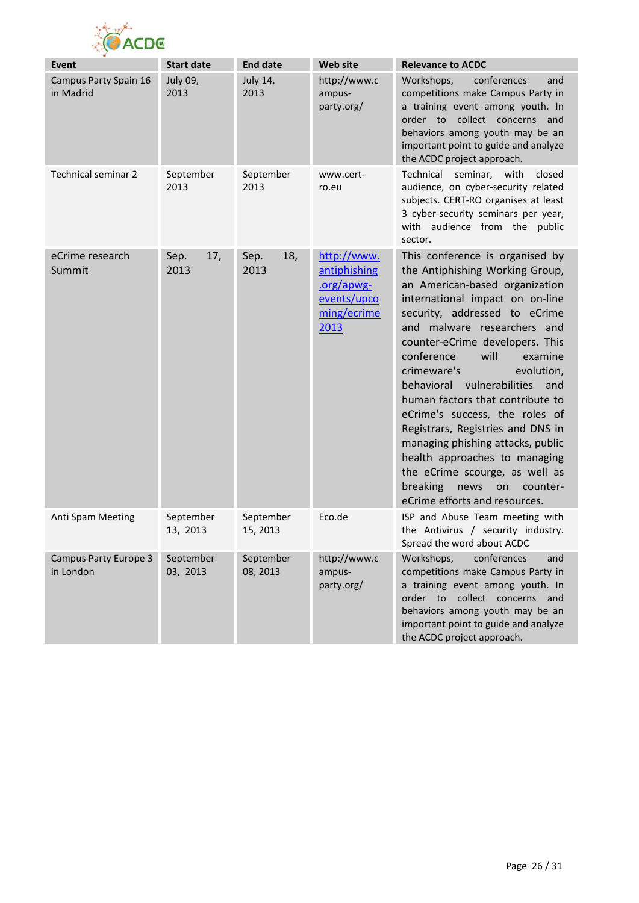

| Event                                     | <b>Start date</b>     | <b>End date</b>       | <b>Web site</b>                                                                 | <b>Relevance to ACDC</b>                                                                                                                                                                                                                                                                                                                                                                                                                                                                                                                                                                                                                |
|-------------------------------------------|-----------------------|-----------------------|---------------------------------------------------------------------------------|-----------------------------------------------------------------------------------------------------------------------------------------------------------------------------------------------------------------------------------------------------------------------------------------------------------------------------------------------------------------------------------------------------------------------------------------------------------------------------------------------------------------------------------------------------------------------------------------------------------------------------------------|
| Campus Party Spain 16<br>in Madrid        | July 09,<br>2013      | July 14,<br>2013      | http://www.c<br>ampus-<br>party.org/                                            | Workshops,<br>conferences<br>and<br>competitions make Campus Party in<br>a training event among youth. In<br>order to collect concerns<br>and<br>behaviors among youth may be an<br>important point to guide and analyze<br>the ACDC project approach.                                                                                                                                                                                                                                                                                                                                                                                  |
| Technical seminar 2                       | September<br>2013     | September<br>2013     | www.cert-<br>ro.eu                                                              | Technical<br>seminar,<br>with<br>closed<br>audience, on cyber-security related<br>subjects. CERT-RO organises at least<br>3 cyber-security seminars per year,<br>with audience from the public<br>sector.                                                                                                                                                                                                                                                                                                                                                                                                                               |
| eCrime research<br>Summit                 | 17,<br>Sep.<br>2013   | 18,<br>Sep.<br>2013   | http://www.<br>antiphishing<br>.org/apwg-<br>events/upco<br>ming/ecrime<br>2013 | This conference is organised by<br>the Antiphishing Working Group,<br>an American-based organization<br>international impact on on-line<br>security, addressed to eCrime<br>and malware researchers and<br>counter-eCrime developers. This<br>conference<br>will<br>examine<br>crimeware's<br>evolution,<br>behavioral vulnerabilities<br>and<br>human factors that contribute to<br>eCrime's success, the roles of<br>Registrars, Registries and DNS in<br>managing phishing attacks, public<br>health approaches to managing<br>the eCrime scourge, as well as<br>breaking<br>news<br>counter-<br>on<br>eCrime efforts and resources. |
| Anti Spam Meeting                         | September<br>13, 2013 | September<br>15, 2013 | Eco.de                                                                          | ISP and Abuse Team meeting with<br>the Antivirus / security industry.<br>Spread the word about ACDC                                                                                                                                                                                                                                                                                                                                                                                                                                                                                                                                     |
| <b>Campus Party Europe 3</b><br>in London | September<br>03, 2013 | September<br>08, 2013 | http://www.c<br>ampus-<br>party.org/                                            | conferences<br>Workshops,<br>and<br>competitions make Campus Party in<br>a training event among youth. In<br>order to collect concerns<br>and<br>behaviors among youth may be an<br>important point to guide and analyze<br>the ACDC project approach.                                                                                                                                                                                                                                                                                                                                                                                  |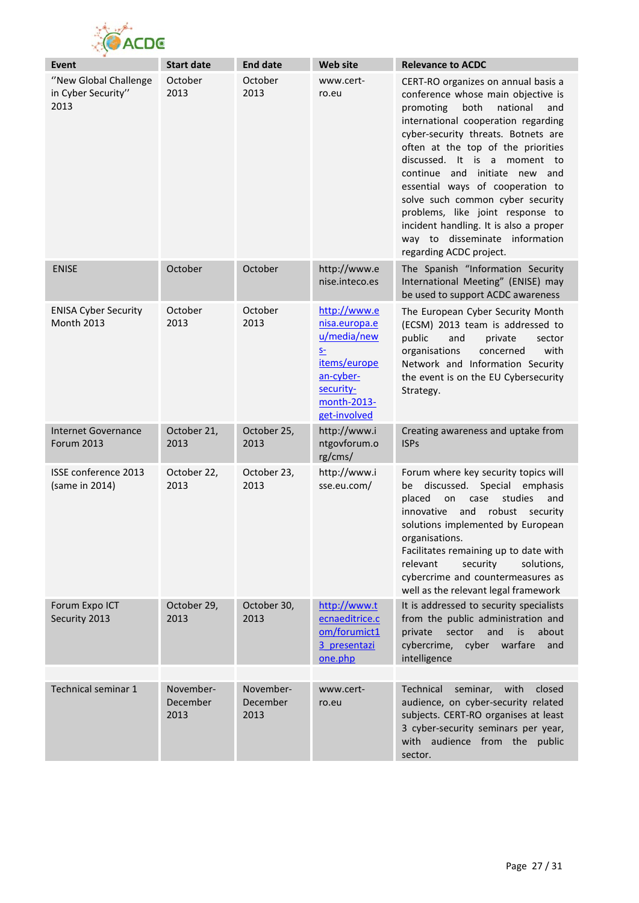

| Event                                               | <b>Start date</b>             | <b>End date</b>               | <b>Web site</b>                                                                                                                      | <b>Relevance to ACDC</b>                                                                                                                                                                                                                                                                                                                                                                                                                                                                                                  |
|-----------------------------------------------------|-------------------------------|-------------------------------|--------------------------------------------------------------------------------------------------------------------------------------|---------------------------------------------------------------------------------------------------------------------------------------------------------------------------------------------------------------------------------------------------------------------------------------------------------------------------------------------------------------------------------------------------------------------------------------------------------------------------------------------------------------------------|
| "New Global Challenge<br>in Cyber Security"<br>2013 | October<br>2013               | October<br>2013               | www.cert-<br>ro.eu                                                                                                                   | CERT-RO organizes on annual basis a<br>conference whose main objective is<br>promoting<br>both<br>national<br>and<br>international cooperation regarding<br>cyber-security threats. Botnets are<br>often at the top of the priorities<br>discussed. It is a moment to<br>continue and initiate new and<br>essential ways of cooperation to<br>solve such common cyber security<br>problems, like joint response to<br>incident handling. It is also a proper<br>way to disseminate information<br>regarding ACDC project. |
| <b>ENISE</b>                                        | October                       | October                       | http://www.e<br>nise.inteco.es                                                                                                       | The Spanish "Information Security<br>International Meeting" (ENISE) may<br>be used to support ACDC awareness                                                                                                                                                                                                                                                                                                                                                                                                              |
| <b>ENISA Cyber Security</b><br><b>Month 2013</b>    | October<br>2013               | October<br>2013               | http://www.e<br>nisa.europa.e<br>u/media/new<br>$S-$<br><u>items/europe</u><br>an-cyber-<br>security-<br>month-2013-<br>get-involved | The European Cyber Security Month<br>(ECSM) 2013 team is addressed to<br>public<br>and<br>private<br>sector<br>organisations<br>concerned<br>with<br>Network and Information Security<br>the event is on the EU Cybersecurity<br>Strategy.                                                                                                                                                                                                                                                                                |
| <b>Internet Governance</b><br><b>Forum 2013</b>     | October 21,<br>2013           | October 25,<br>2013           | http://www.i<br>ntgovforum.o<br>rg/cms/                                                                                              | Creating awareness and uptake from<br><b>ISPs</b>                                                                                                                                                                                                                                                                                                                                                                                                                                                                         |
| ISSE conference 2013<br>(same in 2014)              | October 22,<br>2013           | October 23,<br>2013           | http://www.i<br>sse.eu.com/                                                                                                          | Forum where key security topics will<br>discussed. Special emphasis<br>be<br>placed<br>case<br>studies<br>on<br>and<br>robust security<br>innovative<br>and<br>solutions implemented by European<br>organisations.<br>Facilitates remaining up to date with<br>relevant<br>security<br>solutions,<br>cybercrime and countermeasures as<br>well as the relevant legal framework                                                                                                                                            |
| Forum Expo ICT<br>Security 2013                     | October 29,<br>2013           | October 30,<br>2013           | http://www.t<br>ecnaeditrice.c<br>om/forumict1<br>3 presentazi<br>one.php                                                            | It is addressed to security specialists<br>from the public administration and<br>sector<br>and<br>is<br>private<br>about<br>cybercrime,<br>cyber warfare<br>and<br>intelligence                                                                                                                                                                                                                                                                                                                                           |
|                                                     |                               |                               |                                                                                                                                      |                                                                                                                                                                                                                                                                                                                                                                                                                                                                                                                           |
| Technical seminar 1                                 | November-<br>December<br>2013 | November-<br>December<br>2013 | www.cert-<br>ro.eu                                                                                                                   | Technical<br>seminar,<br>with<br>closed<br>audience, on cyber-security related<br>subjects. CERT-RO organises at least<br>3 cyber-security seminars per year,<br>with audience from the public<br>sector.                                                                                                                                                                                                                                                                                                                 |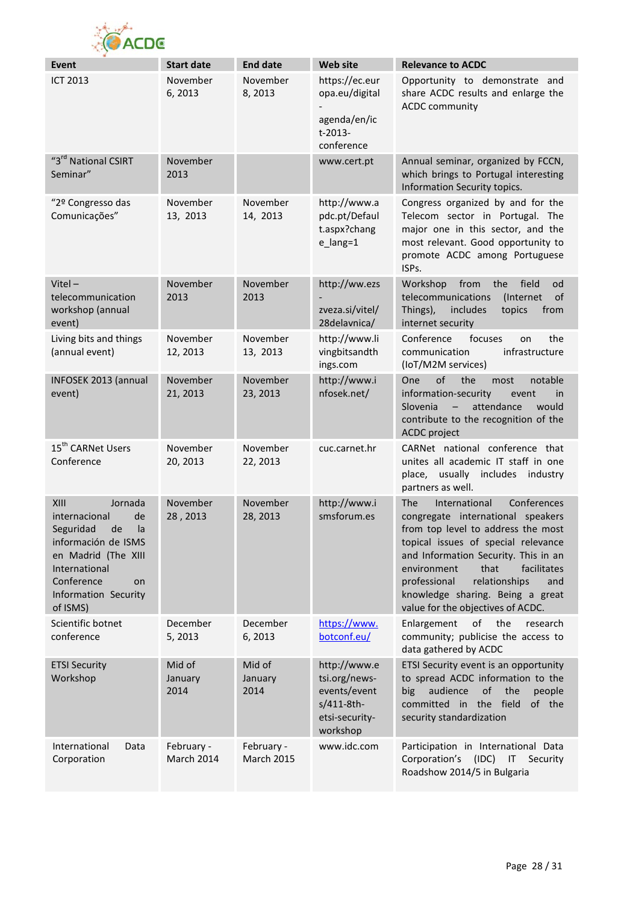

| <b>Event</b>                                                                                                                                                                                  | <b>Start date</b>               | <b>End date</b>                 | <b>Web site</b>                                                                           | <b>Relevance to ACDC</b>                                                                                                                                                                                                                                                                                                                                    |
|-----------------------------------------------------------------------------------------------------------------------------------------------------------------------------------------------|---------------------------------|---------------------------------|-------------------------------------------------------------------------------------------|-------------------------------------------------------------------------------------------------------------------------------------------------------------------------------------------------------------------------------------------------------------------------------------------------------------------------------------------------------------|
| <b>ICT 2013</b>                                                                                                                                                                               | November<br>6,2013              | November<br>8,2013              | https://ec.eur<br>opa.eu/digital<br>agenda/en/ic<br>t-2013-<br>conference                 | Opportunity to demonstrate and<br>share ACDC results and enlarge the<br><b>ACDC</b> community                                                                                                                                                                                                                                                               |
| "3rd National CSIRT<br>Seminar"                                                                                                                                                               | November<br>2013                |                                 | www.cert.pt                                                                               | Annual seminar, organized by FCCN,<br>which brings to Portugal interesting<br>Information Security topics.                                                                                                                                                                                                                                                  |
| "2º Congresso das<br>Comunicações"                                                                                                                                                            | November<br>13, 2013            | November<br>14, 2013            | http://www.a<br>pdc.pt/Defaul<br>t.aspx?chang<br>$e$ _lang=1                              | Congress organized by and for the<br>Telecom sector in Portugal. The<br>major one in this sector, and the<br>most relevant. Good opportunity to<br>promote ACDC among Portuguese<br>ISPs.                                                                                                                                                                   |
| Vitel $-$<br>telecommunication<br>workshop (annual<br>event)                                                                                                                                  | November<br>2013                | November<br>2013                | http://ww.ezs<br>zveza.si/vitel/<br>28delavnica/                                          | Workshop<br>from<br>the<br>field<br>od<br>telecommunications<br>of<br>(Internet)<br>Things),<br>includes<br>topics<br>from<br>internet security                                                                                                                                                                                                             |
| Living bits and things<br>(annual event)                                                                                                                                                      | November<br>12, 2013            | November<br>13, 2013            | http://www.li<br>vingbitsandth<br>ings.com                                                | Conference<br>focuses<br>the<br>on<br>infrastructure<br>communication<br>(IoT/M2M services)                                                                                                                                                                                                                                                                 |
| INFOSEK 2013 (annual<br>event)                                                                                                                                                                | November<br>21, 2013            | November<br>23, 2013            | http://www.i<br>nfosek.net/                                                               | of<br>the<br><b>One</b><br>notable<br>most<br>information-security<br>event<br>in<br>Slovenia<br>attendance<br>$\qquad \qquad -$<br>would<br>contribute to the recognition of the<br>ACDC project                                                                                                                                                           |
| 15 <sup>th</sup> CARNet Users<br>Conference                                                                                                                                                   | November<br>20, 2013            | November<br>22, 2013            | cuc.carnet.hr                                                                             | CARNet national conference that<br>unites all academic IT staff in one<br>place, usually includes industry<br>partners as well.                                                                                                                                                                                                                             |
| XIII<br>Jornada<br>internacional<br>de<br>Seguridad<br>la<br>de<br>información de ISMS<br>en Madrid (The XIII<br>International<br>Conference<br><b>on</b><br>Information Security<br>of ISMS) | November<br>28, 2013            | November<br>28, 2013            | http://www.i<br>smsforum.es                                                               | International<br>Conferences<br><b>The</b><br>congregate international speakers<br>from top level to address the most<br>topical issues of special relevance<br>and Information Security. This in an<br>environment<br>that<br>facilitates<br>professional<br>relationships<br>and<br>knowledge sharing. Being a great<br>value for the objectives of ACDC. |
| Scientific botnet<br>conference                                                                                                                                                               | December<br>5, 2013             | December<br>6, 2013             | https://www.<br>botconf.eu/                                                               | of<br>the<br>Enlargement<br>research<br>community; publicise the access to<br>data gathered by ACDC                                                                                                                                                                                                                                                         |
| <b>ETSI Security</b><br>Workshop                                                                                                                                                              | Mid of<br>January<br>2014       | Mid of<br>January<br>2014       | http://www.e<br>tsi.org/news-<br>events/event<br>s/411-8th-<br>etsi-security-<br>workshop | ETSI Security event is an opportunity<br>to spread ACDC information to the<br>big<br>audience<br>of<br>the<br>people<br>committed in the field<br>of the<br>security standardization                                                                                                                                                                        |
| International<br>Data<br>Corporation                                                                                                                                                          | February -<br><b>March 2014</b> | February -<br><b>March 2015</b> | www.idc.com                                                                               | Participation in International Data<br>Corporation's (IDC) IT Security<br>Roadshow 2014/5 in Bulgaria                                                                                                                                                                                                                                                       |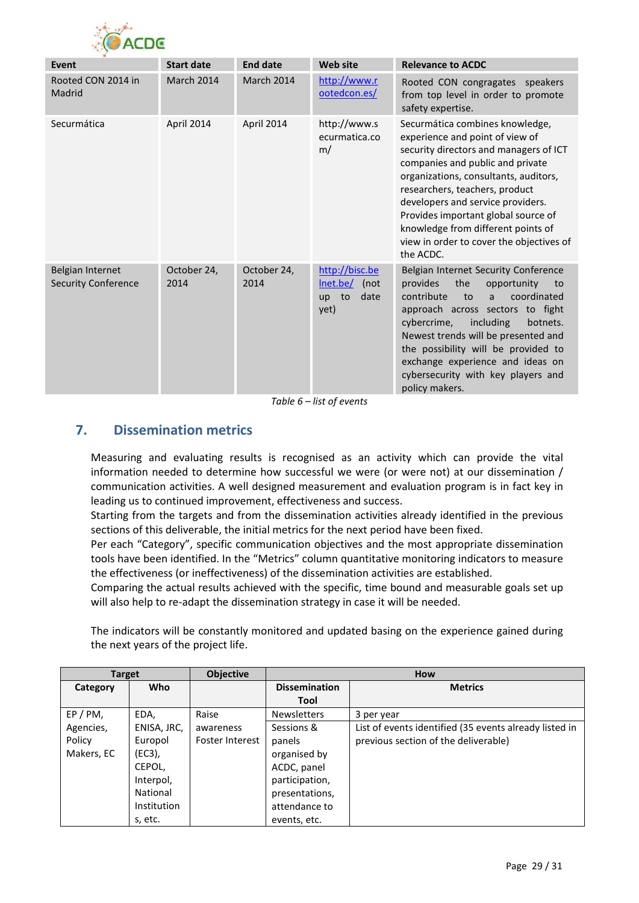

| <b>Event</b>                                   | <b>Start date</b>   | <b>End date</b>     | <b>Web site</b>                                                | <b>Relevance to ACDC</b>                                                                                                                                                                                                                                                                                                                                                                               |
|------------------------------------------------|---------------------|---------------------|----------------------------------------------------------------|--------------------------------------------------------------------------------------------------------------------------------------------------------------------------------------------------------------------------------------------------------------------------------------------------------------------------------------------------------------------------------------------------------|
| Rooted CON 2014 in<br>Madrid                   | <b>March 2014</b>   | <b>March 2014</b>   | http://www.r<br>ootedcon.es/                                   | Rooted CON congragates speakers<br>from top level in order to promote<br>safety expertise.                                                                                                                                                                                                                                                                                                             |
| Securmática                                    | April 2014          | April 2014          | http://www.s<br>ecurmatica.co<br>m/                            | Securmática combines knowledge,<br>experience and point of view of<br>security directors and managers of ICT<br>companies and public and private<br>organizations, consultants, auditors,<br>researchers, teachers, product<br>developers and service providers.<br>Provides important global source of<br>knowledge from different points of<br>view in order to cover the objectives of<br>the ACDC. |
| Belgian Internet<br><b>Security Conference</b> | October 24,<br>2014 | October 24,<br>2014 | http://bisc.be<br>Inet.be/<br>(not<br>date<br>to<br>up<br>yet) | Belgian Internet Security Conference<br>the<br>provides<br>opportunity<br>to<br>contribute<br>coordinated<br>to<br>a<br>approach across sectors to fight<br>cybercrime,<br>including<br>botnets.<br>Newest trends will be presented and<br>the possibility will be provided to<br>exchange experience and ideas on<br>cybersecurity with key players and<br>policy makers.                             |

*Table 6 – list of events*

# <span id="page-28-0"></span>**7. Dissemination metrics**

Measuring and evaluating results is recognised as an activity which can provide the vital information needed to determine how successful we were (or were not) at our dissemination / communication activities. A well designed measurement and evaluation program is in fact key in leading us to continued improvement, effectiveness and success.

Starting from the targets and from the dissemination activities already identified in the previous sections of this deliverable, the initial metrics for the next period have been fixed.

Per each "Category", specific communication objectives and the most appropriate dissemination tools have been identified. In the "Metrics" column quantitative monitoring indicators to measure the effectiveness (or ineffectiveness) of the dissemination activities are established.

Comparing the actual results achieved with the specific, time bound and measurable goals set up will also help to re-adapt the dissemination strategy in case it will be needed.

The indicators will be constantly monitored and updated basing on the experience gained during the next years of the project life.

| <b>Target</b> |             | <b>Objective</b> | How                  |                                                        |  |  |  |
|---------------|-------------|------------------|----------------------|--------------------------------------------------------|--|--|--|
| Category      | <b>Who</b>  |                  | <b>Dissemination</b> | <b>Metrics</b>                                         |  |  |  |
|               |             |                  | Tool                 |                                                        |  |  |  |
| $EP/PM$ ,     | EDA,        | Raise            | Newsletters          | 3 per year                                             |  |  |  |
| Agencies,     | ENISA, JRC, | awareness        | Sessions &           | List of events identified (35 events already listed in |  |  |  |
| Policy        | Europol     | Foster Interest  | panels               | previous section of the deliverable)                   |  |  |  |
| Makers, EC    | (EC3),      |                  | organised by         |                                                        |  |  |  |
|               | CEPOL,      |                  | ACDC, panel          |                                                        |  |  |  |
|               | Interpol,   |                  | participation,       |                                                        |  |  |  |
|               | National    |                  | presentations,       |                                                        |  |  |  |
|               | Institution |                  | attendance to        |                                                        |  |  |  |
|               | s, etc.     |                  | events, etc.         |                                                        |  |  |  |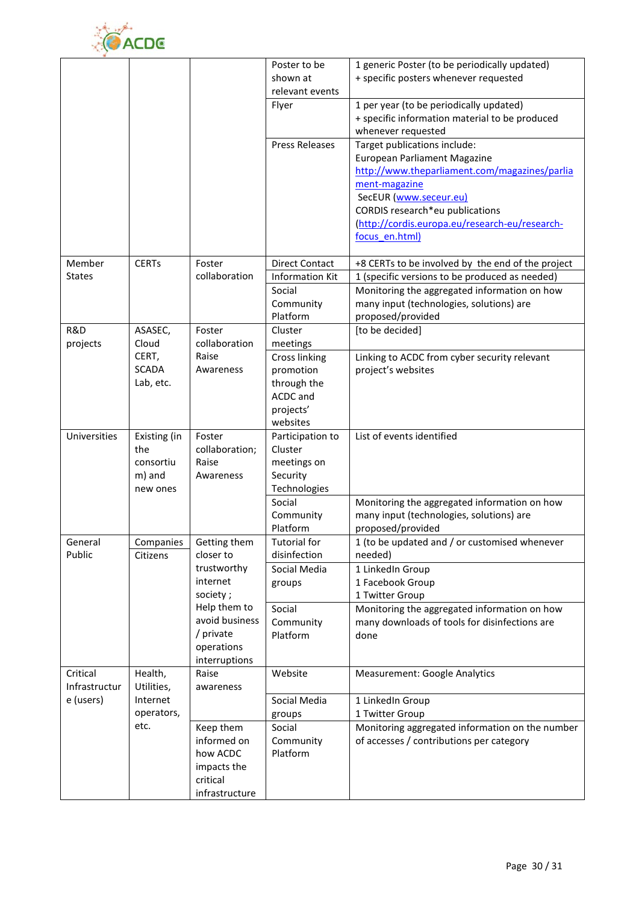

|                            |                                                        |                                                                                        | Poster to be<br>shown at<br>relevant events                                                       | 1 generic Poster (to be periodically updated)<br>+ specific posters whenever requested                                                                                                                                                                          |
|----------------------------|--------------------------------------------------------|----------------------------------------------------------------------------------------|---------------------------------------------------------------------------------------------------|-----------------------------------------------------------------------------------------------------------------------------------------------------------------------------------------------------------------------------------------------------------------|
|                            |                                                        |                                                                                        | Flyer                                                                                             | 1 per year (to be periodically updated)<br>+ specific information material to be produced<br>whenever requested                                                                                                                                                 |
|                            |                                                        |                                                                                        | <b>Press Releases</b>                                                                             | Target publications include:<br>European Parliament Magazine<br>http://www.theparliament.com/magazines/parlia<br>ment-magazine<br>SecEUR (www.seceur.eu)<br>CORDIS research*eu publications<br>(http://cordis.europa.eu/research-eu/research-<br>focus en.html) |
| Member<br><b>States</b>    | <b>CERTs</b>                                           | Foster<br>collaboration                                                                | <b>Direct Contact</b><br><b>Information Kit</b>                                                   | +8 CERTs to be involved by the end of the project<br>1 (specific versions to be produced as needed)                                                                                                                                                             |
|                            |                                                        |                                                                                        | Social<br>Community<br>Platform                                                                   | Monitoring the aggregated information on how<br>many input (technologies, solutions) are<br>proposed/provided                                                                                                                                                   |
| R&D                        | ASASEC,                                                | Foster                                                                                 | Cluster                                                                                           | [to be decided]                                                                                                                                                                                                                                                 |
| projects                   | Cloud<br>CERT,<br><b>SCADA</b><br>Lab, etc.            | collaboration<br>Raise<br>Awareness                                                    | meetings<br><b>Cross linking</b><br>promotion<br>through the<br>ACDC and<br>projects'<br>websites | Linking to ACDC from cyber security relevant<br>project's websites                                                                                                                                                                                              |
| Universities               | Existing (in<br>the<br>consortiu<br>m) and<br>new ones | Foster<br>collaboration;<br>Raise<br>Awareness                                         | Participation to<br>Cluster<br>meetings on<br>Security<br>Technologies                            | List of events identified                                                                                                                                                                                                                                       |
|                            |                                                        |                                                                                        | Social<br>Community<br>Platform                                                                   | Monitoring the aggregated information on how<br>many input (technologies, solutions) are<br>proposed/provided                                                                                                                                                   |
| General<br>Public          | Companies<br>Citizens                                  | Getting them<br>closer to<br>trustworthy<br>internet                                   | <b>Tutorial for</b><br>disinfection<br>Social Media<br>groups                                     | 1 (to be updated and / or customised whenever<br>needed)<br>1 LinkedIn Group<br>1 Facebook Group                                                                                                                                                                |
|                            |                                                        | society;<br>Help them to<br>avoid business<br>/ private<br>operations<br>interruptions | Social<br>Community<br>Platform                                                                   | 1 Twitter Group<br>Monitoring the aggregated information on how<br>many downloads of tools for disinfections are<br>done                                                                                                                                        |
| Critical                   | Health,                                                | Raise                                                                                  | Website                                                                                           | <b>Measurement: Google Analytics</b>                                                                                                                                                                                                                            |
| Infrastructur<br>e (users) | Utilities,<br>Internet<br>operators,                   | awareness                                                                              | Social Media<br>groups                                                                            | 1 LinkedIn Group<br>1 Twitter Group                                                                                                                                                                                                                             |
|                            | etc.                                                   | Keep them<br>informed on<br>how ACDC<br>impacts the<br>critical<br>infrastructure      | Social<br>Community<br>Platform                                                                   | Monitoring aggregated information on the number<br>of accesses / contributions per category                                                                                                                                                                     |